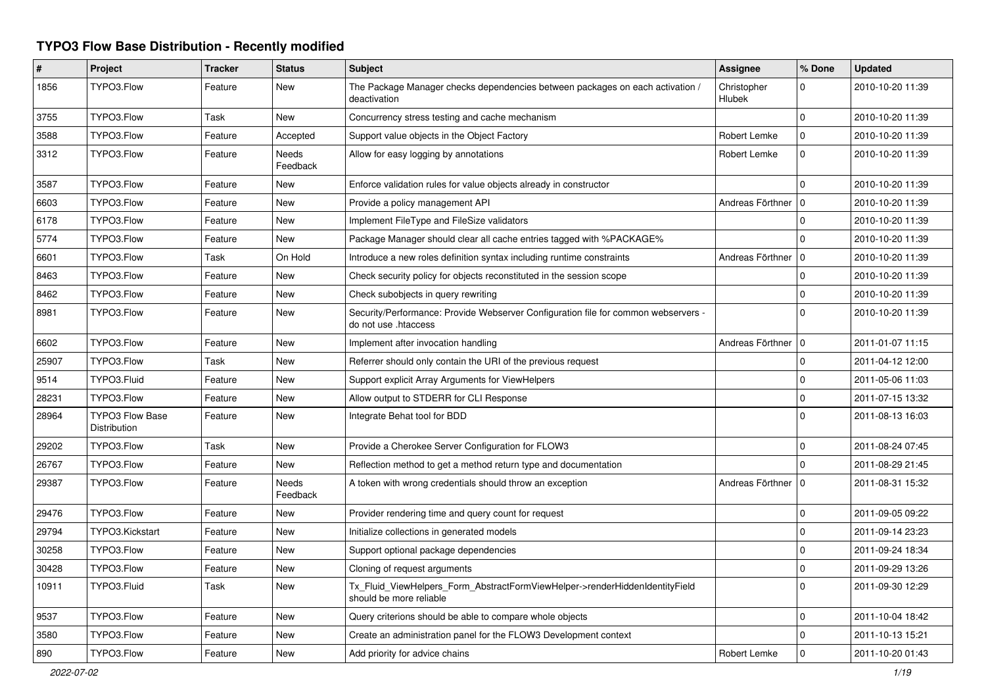## **TYPO3 Flow Base Distribution - Recently modified**

| $\#$  | Project                                | <b>Tracker</b> | <b>Status</b>     | <b>Subject</b>                                                                                             | <b>Assignee</b>       | % Done       | <b>Updated</b>   |
|-------|----------------------------------------|----------------|-------------------|------------------------------------------------------------------------------------------------------------|-----------------------|--------------|------------------|
| 1856  | TYPO3.Flow                             | Feature        | New               | The Package Manager checks dependencies between packages on each activation /<br>deactivation              | Christopher<br>Hlubek | 0            | 2010-10-20 11:39 |
| 3755  | TYPO3.Flow                             | Task           | New               | Concurrency stress testing and cache mechanism                                                             |                       | $\Omega$     | 2010-10-20 11:39 |
| 3588  | TYPO3.Flow                             | Feature        | Accepted          | Support value objects in the Object Factory                                                                | Robert Lemke          | $\mathbf 0$  | 2010-10-20 11:39 |
| 3312  | TYPO3.Flow                             | Feature        | Needs<br>Feedback | Allow for easy logging by annotations                                                                      | Robert Lemke          | $\Omega$     | 2010-10-20 11:39 |
| 3587  | TYPO3.Flow                             | Feature        | New               | Enforce validation rules for value objects already in constructor                                          |                       | $\Omega$     | 2010-10-20 11:39 |
| 6603  | TYPO3.Flow                             | Feature        | New               | Provide a policy management API                                                                            | Andreas Förthner   0  |              | 2010-10-20 11:39 |
| 6178  | TYPO3.Flow                             | Feature        | New               | Implement FileType and FileSize validators                                                                 |                       | $\Omega$     | 2010-10-20 11:39 |
| 5774  | TYPO3.Flow                             | Feature        | New               | Package Manager should clear all cache entries tagged with %PACKAGE%                                       |                       | $\Omega$     | 2010-10-20 11:39 |
| 6601  | TYPO3.Flow                             | Task           | On Hold           | Introduce a new roles definition syntax including runtime constraints                                      | Andreas Förthner   0  |              | 2010-10-20 11:39 |
| 8463  | TYPO3.Flow                             | Feature        | <b>New</b>        | Check security policy for objects reconstituted in the session scope                                       |                       | $\Omega$     | 2010-10-20 11:39 |
| 8462  | TYPO3.Flow                             | Feature        | New               | Check subobjects in query rewriting                                                                        |                       | $\mathbf 0$  | 2010-10-20 11:39 |
| 8981  | TYPO3.Flow                             | Feature        | New               | Security/Performance: Provide Webserver Configuration file for common webservers -<br>do not use .htaccess |                       | $\Omega$     | 2010-10-20 11:39 |
| 6602  | TYPO3.Flow                             | Feature        | <b>New</b>        | Implement after invocation handling                                                                        | Andreas Förthner   0  |              | 2011-01-07 11:15 |
| 25907 | TYPO3.Flow                             | Task           | New               | Referrer should only contain the URI of the previous request                                               |                       | $\mathbf 0$  | 2011-04-12 12:00 |
| 9514  | TYPO3.Fluid                            | Feature        | <b>New</b>        | Support explicit Array Arguments for ViewHelpers                                                           |                       | $\Omega$     | 2011-05-06 11:03 |
| 28231 | TYPO3.Flow                             | Feature        | New               | Allow output to STDERR for CLI Response                                                                    |                       | $\mathbf 0$  | 2011-07-15 13:32 |
| 28964 | <b>TYPO3 Flow Base</b><br>Distribution | Feature        | New               | Integrate Behat tool for BDD                                                                               |                       | $\Omega$     | 2011-08-13 16:03 |
| 29202 | TYPO3.Flow                             | Task           | New               | Provide a Cherokee Server Configuration for FLOW3                                                          |                       | 0            | 2011-08-24 07:45 |
| 26767 | TYPO3.Flow                             | Feature        | New               | Reflection method to get a method return type and documentation                                            |                       | $\Omega$     | 2011-08-29 21:45 |
| 29387 | TYPO3.Flow                             | Feature        | Needs<br>Feedback | A token with wrong credentials should throw an exception                                                   | Andreas Förthner   0  |              | 2011-08-31 15:32 |
| 29476 | TYPO3.Flow                             | Feature        | New               | Provider rendering time and query count for request                                                        |                       | $\mathbf 0$  | 2011-09-05 09:22 |
| 29794 | TYPO3.Kickstart                        | Feature        | <b>New</b>        | Initialize collections in generated models                                                                 |                       | $\Omega$     | 2011-09-14 23:23 |
| 30258 | TYPO3.Flow                             | Feature        | New               | Support optional package dependencies                                                                      |                       | $\mathbf 0$  | 2011-09-24 18:34 |
| 30428 | TYPO3.Flow                             | Feature        | New               | Cloning of request arguments                                                                               |                       | $\mathsf{O}$ | 2011-09-29 13:26 |
| 10911 | TYPO3.Fluid                            | Task           | New               | Tx Fluid ViewHelpers Form AbstractFormViewHelper->renderHiddenIdentityField<br>should be more reliable     |                       | $\Omega$     | 2011-09-30 12:29 |
| 9537  | TYPO3.Flow                             | Feature        | <b>New</b>        | Query criterions should be able to compare whole objects                                                   |                       | $\mathbf 0$  | 2011-10-04 18:42 |
| 3580  | TYPO3.Flow                             | Feature        | New               | Create an administration panel for the FLOW3 Development context                                           |                       | $\Omega$     | 2011-10-13 15:21 |
| 890   | TYPO3.Flow                             | Feature        | New               | Add priority for advice chains                                                                             | Robert Lemke          | $\mathbf 0$  | 2011-10-20 01:43 |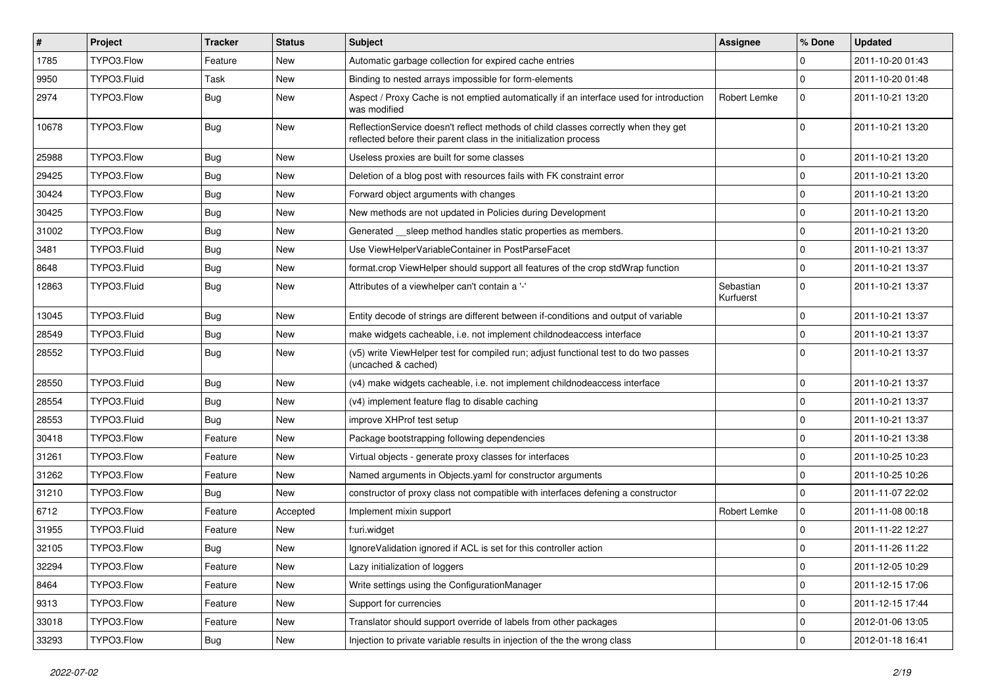| $\vert$ # | Project     | <b>Tracker</b> | <b>Status</b> | <b>Subject</b>                                                                                                                                          | Assignee               | % Done      | <b>Updated</b>   |
|-----------|-------------|----------------|---------------|---------------------------------------------------------------------------------------------------------------------------------------------------------|------------------------|-------------|------------------|
| 1785      | TYPO3.Flow  | Feature        | New           | Automatic garbage collection for expired cache entries                                                                                                  |                        | 0           | 2011-10-20 01:43 |
| 9950      | TYPO3.Fluid | Task           | <b>New</b>    | Binding to nested arrays impossible for form-elements                                                                                                   |                        | $\mathbf 0$ | 2011-10-20 01:48 |
| 2974      | TYPO3.Flow  | Bug            | New           | Aspect / Proxy Cache is not emptied automatically if an interface used for introduction<br>was modified                                                 | Robert Lemke           | $\mathbf 0$ | 2011-10-21 13:20 |
| 10678     | TYPO3.Flow  | <b>Bug</b>     | <b>New</b>    | ReflectionService doesn't reflect methods of child classes correctly when they get<br>reflected before their parent class in the initialization process |                        | $\Omega$    | 2011-10-21 13:20 |
| 25988     | TYPO3.Flow  | Bug            | New           | Useless proxies are built for some classes                                                                                                              |                        | $\mathbf 0$ | 2011-10-21 13:20 |
| 29425     | TYPO3.Flow  | Bug            | New           | Deletion of a blog post with resources fails with FK constraint error                                                                                   |                        | $\mathbf 0$ | 2011-10-21 13:20 |
| 30424     | TYPO3.Flow  | Bug            | New           | Forward object arguments with changes                                                                                                                   |                        | $\mathbf 0$ | 2011-10-21 13:20 |
| 30425     | TYPO3.Flow  | <b>Bug</b>     | New           | New methods are not updated in Policies during Development                                                                                              |                        | $\mathbf 0$ | 2011-10-21 13:20 |
| 31002     | TYPO3.Flow  | Bug            | New           | Generated sleep method handles static properties as members.                                                                                            |                        | $\mathbf 0$ | 2011-10-21 13:20 |
| 3481      | TYPO3.Fluid | Bug            | New           | Use ViewHelperVariableContainer in PostParseFacet                                                                                                       |                        | $\mathbf 0$ | 2011-10-21 13:37 |
| 8648      | TYPO3.Fluid | <b>Bug</b>     | New           | format.crop ViewHelper should support all features of the crop stdWrap function                                                                         |                        | $\mathbf 0$ | 2011-10-21 13:37 |
| 12863     | TYPO3.Fluid | Bug            | New           | Attributes of a viewhelper can't contain a '-'                                                                                                          | Sebastian<br>Kurfuerst | $\Omega$    | 2011-10-21 13:37 |
| 13045     | TYPO3.Fluid | Bug            | New           | Entity decode of strings are different between if-conditions and output of variable                                                                     |                        | $\mathbf 0$ | 2011-10-21 13:37 |
| 28549     | TYPO3.Fluid | Bug            | New           | make widgets cacheable, i.e. not implement childnodeaccess interface                                                                                    |                        | $\mathbf 0$ | 2011-10-21 13:37 |
| 28552     | TYPO3.Fluid | <b>Bug</b>     | New           | (v5) write ViewHelper test for compiled run; adjust functional test to do two passes<br>(uncached & cached)                                             |                        | $\Omega$    | 2011-10-21 13:37 |
| 28550     | TYPO3.Fluid | <b>Bug</b>     | New           | (v4) make widgets cacheable, i.e. not implement childnodeaccess interface                                                                               |                        | $\mathbf 0$ | 2011-10-21 13:37 |
| 28554     | TYPO3.Fluid | <b>Bug</b>     | New           | (v4) implement feature flag to disable caching                                                                                                          |                        | $\mathbf 0$ | 2011-10-21 13:37 |
| 28553     | TYPO3.Fluid | Bug            | New           | improve XHProf test setup                                                                                                                               |                        | $\mathbf 0$ | 2011-10-21 13:37 |
| 30418     | TYPO3.Flow  | Feature        | New           | Package bootstrapping following dependencies                                                                                                            |                        | $\mathbf 0$ | 2011-10-21 13:38 |
| 31261     | TYPO3.Flow  | Feature        | New           | Virtual objects - generate proxy classes for interfaces                                                                                                 |                        | $\mathbf 0$ | 2011-10-25 10:23 |
| 31262     | TYPO3.Flow  | Feature        | New           | Named arguments in Objects.yaml for constructor arguments                                                                                               |                        | $\mathbf 0$ | 2011-10-25 10:26 |
| 31210     | TYPO3.Flow  | <b>Bug</b>     | New           | constructor of proxy class not compatible with interfaces defening a constructor                                                                        |                        | $\Omega$    | 2011-11-07 22:02 |
| 6712      | TYPO3.Flow  | Feature        | Accepted      | Implement mixin support                                                                                                                                 | <b>Robert Lemke</b>    | $\mathbf 0$ | 2011-11-08 00:18 |
| 31955     | TYPO3.Fluid | Feature        | New           | f:uri.widget                                                                                                                                            |                        | $\mathbf 0$ | 2011-11-22 12:27 |
| 32105     | TYPO3.Flow  | Bug            | New           | Ignore Validation ignored if ACL is set for this controller action                                                                                      |                        | $\mathbf 0$ | 2011-11-26 11:22 |
| 32294     | TYPO3.Flow  | Feature        | New           | Lazy initialization of loggers                                                                                                                          |                        | 0           | 2011-12-05 10:29 |
| 8464      | TYPO3.Flow  | Feature        | New           | Write settings using the ConfigurationManager                                                                                                           |                        | $\mathbf 0$ | 2011-12-15 17:06 |
| 9313      | TYPO3.Flow  | Feature        | New           | Support for currencies                                                                                                                                  |                        | $\mathbf 0$ | 2011-12-15 17:44 |
| 33018     | TYPO3.Flow  | Feature        | New           | Translator should support override of labels from other packages                                                                                        |                        | $\mathbf 0$ | 2012-01-06 13:05 |
| 33293     | TYPO3.Flow  | Bug            | New           | Injection to private variable results in injection of the the wrong class                                                                               |                        | 0           | 2012-01-18 16:41 |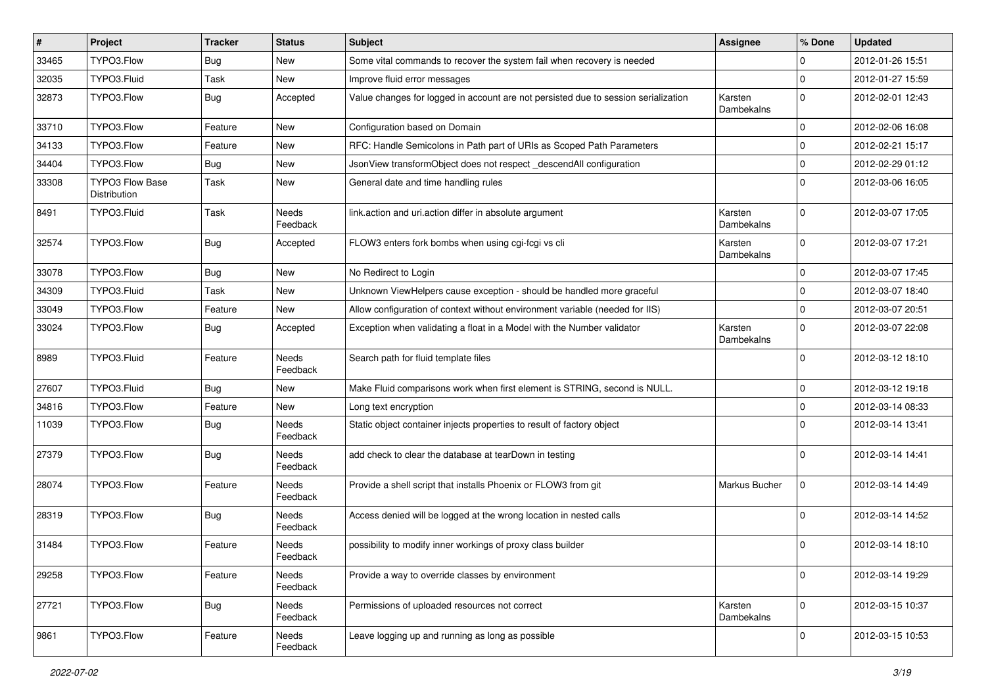| #     | Project                                | <b>Tracker</b> | <b>Status</b>            | <b>Subject</b>                                                                     | <b>Assignee</b>       | % Done      | <b>Updated</b>   |
|-------|----------------------------------------|----------------|--------------------------|------------------------------------------------------------------------------------|-----------------------|-------------|------------------|
| 33465 | TYPO3.Flow                             | Bug            | New                      | Some vital commands to recover the system fail when recovery is needed             |                       | 0           | 2012-01-26 15:51 |
| 32035 | TYPO3.Fluid                            | Task           | <b>New</b>               | Improve fluid error messages                                                       |                       | $\mathbf 0$ | 2012-01-27 15:59 |
| 32873 | TYPO3.Flow                             | Bug            | Accepted                 | Value changes for logged in account are not persisted due to session serialization | Karsten<br>Dambekalns | $\mathbf 0$ | 2012-02-01 12:43 |
| 33710 | TYPO3.Flow                             | Feature        | New                      | Configuration based on Domain                                                      |                       | 0           | 2012-02-06 16:08 |
| 34133 | TYPO3.Flow                             | Feature        | New                      | RFC: Handle Semicolons in Path part of URIs as Scoped Path Parameters              |                       | 0           | 2012-02-21 15:17 |
| 34404 | TYPO3.Flow                             | Bug            | New                      | JsonView transformObject does not respect _descendAll configuration                |                       | $\mathbf 0$ | 2012-02-29 01:12 |
| 33308 | <b>TYPO3 Flow Base</b><br>Distribution | Task           | New                      | General date and time handling rules                                               |                       | $\Omega$    | 2012-03-06 16:05 |
| 8491  | TYPO3.Fluid                            | Task           | Needs<br>Feedback        | link.action and uri.action differ in absolute argument                             | Karsten<br>Dambekalns | $\Omega$    | 2012-03-07 17:05 |
| 32574 | TYPO3.Flow                             | Bug            | Accepted                 | FLOW3 enters fork bombs when using cgi-fcgi vs cli                                 | Karsten<br>Dambekalns | $\Omega$    | 2012-03-07 17:21 |
| 33078 | TYPO3.Flow                             | Bug            | New                      | No Redirect to Login                                                               |                       | $\mathbf 0$ | 2012-03-07 17:45 |
| 34309 | TYPO3.Fluid                            | Task           | New                      | Unknown ViewHelpers cause exception - should be handled more graceful              |                       | 0           | 2012-03-07 18:40 |
| 33049 | TYPO3.Flow                             | Feature        | New                      | Allow configuration of context without environment variable (needed for IIS)       |                       | $\mathbf 0$ | 2012-03-07 20:51 |
| 33024 | TYPO3.Flow                             | Bug            | Accepted                 | Exception when validating a float in a Model with the Number validator             | Karsten<br>Dambekalns | $\mathbf 0$ | 2012-03-07 22:08 |
| 8989  | TYPO3.Fluid                            | Feature        | Needs<br>Feedback        | Search path for fluid template files                                               |                       | $\mathbf 0$ | 2012-03-12 18:10 |
| 27607 | TYPO3.Fluid                            | Bug            | New                      | Make Fluid comparisons work when first element is STRING, second is NULL.          |                       | 0           | 2012-03-12 19:18 |
| 34816 | TYPO3.Flow                             | Feature        | New                      | Long text encryption                                                               |                       | 0           | 2012-03-14 08:33 |
| 11039 | TYPO3.Flow                             | <b>Bug</b>     | Needs<br>Feedback        | Static object container injects properties to result of factory object             |                       | $\Omega$    | 2012-03-14 13:41 |
| 27379 | TYPO3.Flow                             | <b>Bug</b>     | Needs<br>Feedback        | add check to clear the database at tearDown in testing                             |                       | 0           | 2012-03-14 14:41 |
| 28074 | TYPO3.Flow                             | Feature        | <b>Needs</b><br>Feedback | Provide a shell script that installs Phoenix or FLOW3 from git                     | Markus Bucher         | 0           | 2012-03-14 14:49 |
| 28319 | TYPO3.Flow                             | <b>Bug</b>     | <b>Needs</b><br>Feedback | Access denied will be logged at the wrong location in nested calls                 |                       | $\Omega$    | 2012-03-14 14:52 |
| 31484 | TYPO3.Flow                             | Feature        | Needs<br>Feedback        | possibility to modify inner workings of proxy class builder                        |                       | $\Omega$    | 2012-03-14 18:10 |
| 29258 | TYPO3.Flow                             | Feature        | Needs<br>Feedback        | Provide a way to override classes by environment                                   |                       | $\mathbf 0$ | 2012-03-14 19:29 |
| 27721 | TYPO3.Flow                             | Bug            | Needs<br>Feedback        | Permissions of uploaded resources not correct                                      | Karsten<br>Dambekalns | $\mathbf 0$ | 2012-03-15 10:37 |
| 9861  | TYPO3.Flow                             | Feature        | Needs<br>Feedback        | Leave logging up and running as long as possible                                   |                       | $\mathbf 0$ | 2012-03-15 10:53 |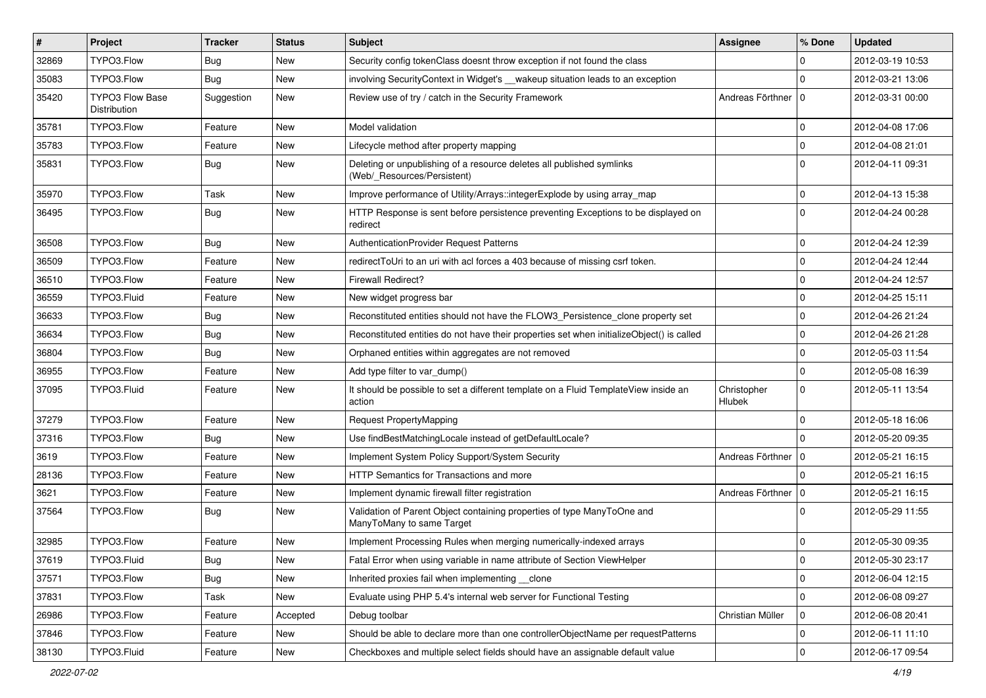| $\pmb{\#}$ | Project                                | <b>Tracker</b> | <b>Status</b> | Subject                                                                                              | Assignee              | % Done       | <b>Updated</b>   |
|------------|----------------------------------------|----------------|---------------|------------------------------------------------------------------------------------------------------|-----------------------|--------------|------------------|
| 32869      | TYPO3.Flow                             | Bug            | New           | Security config tokenClass doesnt throw exception if not found the class                             |                       | 0            | 2012-03-19 10:53 |
| 35083      | TYPO3.Flow                             | Bug            | New           | involving SecurityContext in Widget's __wakeup situation leads to an exception                       |                       | $\Omega$     | 2012-03-21 13:06 |
| 35420      | <b>TYPO3 Flow Base</b><br>Distribution | Suggestion     | New           | Review use of try / catch in the Security Framework                                                  | Andreas Förthner   0  |              | 2012-03-31 00:00 |
| 35781      | TYPO3.Flow                             | Feature        | New           | Model validation                                                                                     |                       | $\mathbf 0$  | 2012-04-08 17:06 |
| 35783      | TYPO3.Flow                             | Feature        | New           | Lifecycle method after property mapping                                                              |                       | $\mathbf 0$  | 2012-04-08 21:01 |
| 35831      | TYPO3.Flow                             | Bug            | New           | Deleting or unpublishing of a resource deletes all published symlinks<br>(Web/ Resources/Persistent) |                       | $\Omega$     | 2012-04-11 09:31 |
| 35970      | TYPO3.Flow                             | Task           | New           | Improve performance of Utility/Arrays::integerExplode by using array_map                             |                       | $\mathbf 0$  | 2012-04-13 15:38 |
| 36495      | TYPO3.Flow                             | Bug            | New           | HTTP Response is sent before persistence preventing Exceptions to be displayed on<br>redirect        |                       | $\Omega$     | 2012-04-24 00:28 |
| 36508      | TYPO3.Flow                             | Bug            | New           | AuthenticationProvider Request Patterns                                                              |                       | $\mathbf 0$  | 2012-04-24 12:39 |
| 36509      | TYPO3.Flow                             | Feature        | New           | redirectToUri to an uri with acl forces a 403 because of missing csrf token.                         |                       | 0            | 2012-04-24 12:44 |
| 36510      | TYPO3.Flow                             | Feature        | New           | <b>Firewall Redirect?</b>                                                                            |                       | $\mathbf 0$  | 2012-04-24 12:57 |
| 36559      | TYPO3.Fluid                            | Feature        | New           | New widget progress bar                                                                              |                       | $\mathbf 0$  | 2012-04-25 15:11 |
| 36633      | TYPO3.Flow                             | Bug            | New           | Reconstituted entities should not have the FLOW3 Persistence clone property set                      |                       | $\mathbf 0$  | 2012-04-26 21:24 |
| 36634      | TYPO3.Flow                             | Bug            | New           | Reconstituted entities do not have their properties set when initializeObject() is called            |                       | $\mathbf 0$  | 2012-04-26 21:28 |
| 36804      | TYPO3.Flow                             | Bug            | New           | Orphaned entities within aggregates are not removed                                                  |                       | $\mathbf 0$  | 2012-05-03 11:54 |
| 36955      | TYPO3.Flow                             | Feature        | New           | Add type filter to var dump()                                                                        |                       | 0            | 2012-05-08 16:39 |
| 37095      | TYPO3.Fluid                            | Feature        | New           | It should be possible to set a different template on a Fluid TemplateView inside an<br>action        | Christopher<br>Hlubek | $\mathbf 0$  | 2012-05-11 13:54 |
| 37279      | TYPO3.Flow                             | Feature        | New           | <b>Request PropertyMapping</b>                                                                       |                       | $\mathbf 0$  | 2012-05-18 16:06 |
| 37316      | TYPO3.Flow                             | Bug            | New           | Use findBestMatchingLocale instead of getDefaultLocale?                                              |                       | $\Omega$     | 2012-05-20 09:35 |
| 3619       | TYPO3.Flow                             | Feature        | New           | Implement System Policy Support/System Security                                                      | Andreas Förthner   0  |              | 2012-05-21 16:15 |
| 28136      | TYPO3.Flow                             | Feature        | New           | HTTP Semantics for Transactions and more                                                             |                       | $\Omega$     | 2012-05-21 16:15 |
| 3621       | TYPO3.Flow                             | Feature        | New           | Implement dynamic firewall filter registration                                                       | Andreas Förthner   0  |              | 2012-05-21 16:15 |
| 37564      | TYPO3.Flow                             | Bug            | New           | Validation of Parent Object containing properties of type ManyToOne and<br>ManyToMany to same Target |                       | $\Omega$     | 2012-05-29 11:55 |
| 32985      | TYPO3.Flow                             | Feature        | New           | Implement Processing Rules when merging numerically-indexed arrays                                   |                       | 0            | 2012-05-30 09:35 |
| 37619      | TYPO3.Fluid                            | Bug            | New           | Fatal Error when using variable in name attribute of Section ViewHelper                              |                       | $\mathbf{0}$ | 2012-05-30 23:17 |
| 37571      | TYPO3.Flow                             | <b>Bug</b>     | New           | Inherited proxies fail when implementing __clone                                                     |                       | 0            | 2012-06-04 12:15 |
| 37831      | TYPO3.Flow                             | Task           | New           | Evaluate using PHP 5.4's internal web server for Functional Testing                                  |                       | 0            | 2012-06-08 09:27 |
| 26986      | TYPO3.Flow                             | Feature        | Accepted      | Debug toolbar                                                                                        | Christian Müller      | 0            | 2012-06-08 20:41 |
| 37846      | TYPO3.Flow                             | Feature        | New           | Should be able to declare more than one controllerObjectName per requestPatterns                     |                       | 0            | 2012-06-11 11:10 |
| 38130      | TYPO3.Fluid                            | Feature        | New           | Checkboxes and multiple select fields should have an assignable default value                        |                       | $\pmb{0}$    | 2012-06-17 09:54 |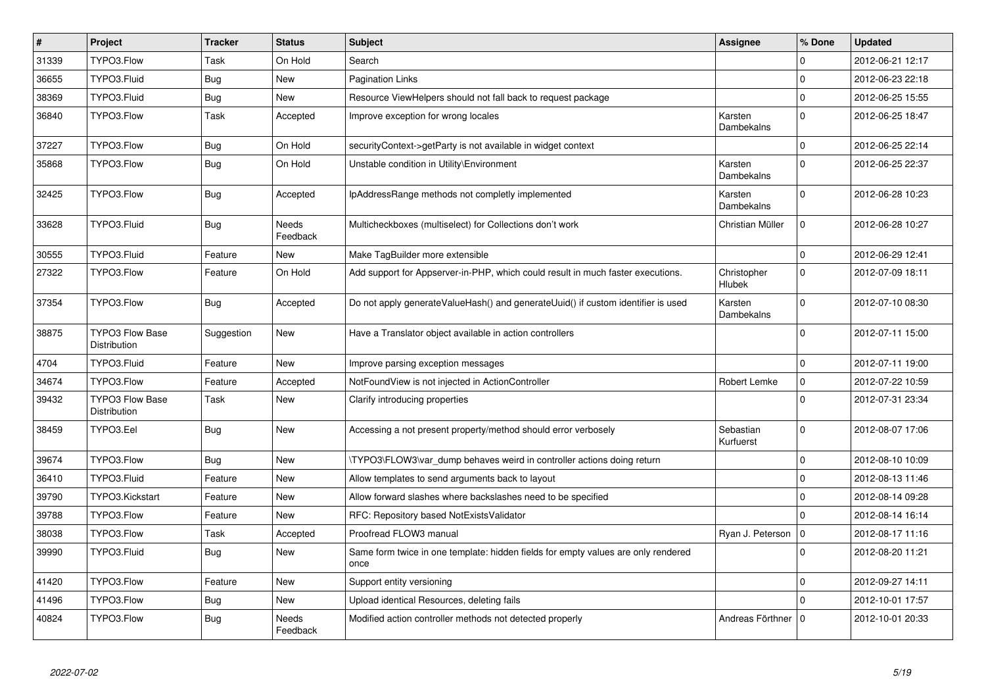| $\vert$ # | Project                                       | <b>Tracker</b> | <b>Status</b>            | <b>Subject</b>                                                                            | <b>Assignee</b>        | % Done              | <b>Updated</b>   |
|-----------|-----------------------------------------------|----------------|--------------------------|-------------------------------------------------------------------------------------------|------------------------|---------------------|------------------|
| 31339     | TYPO3.Flow                                    | Task           | On Hold                  | Search                                                                                    |                        | 0                   | 2012-06-21 12:17 |
| 36655     | TYPO3.Fluid                                   | <b>Bug</b>     | <b>New</b>               | <b>Pagination Links</b>                                                                   |                        | $\mathbf 0$         | 2012-06-23 22:18 |
| 38369     | TYPO3.Fluid                                   | <b>Bug</b>     | New                      | Resource ViewHelpers should not fall back to request package                              |                        | $\mathbf 0$         | 2012-06-25 15:55 |
| 36840     | TYPO3.Flow                                    | Task           | Accepted                 | Improve exception for wrong locales                                                       | Karsten<br>Dambekalns  | $\mathbf 0$         | 2012-06-25 18:47 |
| 37227     | TYPO3.Flow                                    | <b>Bug</b>     | On Hold                  | securityContext->getParty is not available in widget context                              |                        | $\Omega$            | 2012-06-25 22:14 |
| 35868     | TYPO3.Flow                                    | Bug            | On Hold                  | Unstable condition in Utility\Environment                                                 | Karsten<br>Dambekalns  | $\mathbf 0$         | 2012-06-25 22:37 |
| 32425     | TYPO3.Flow                                    | <b>Bug</b>     | Accepted                 | IpAddressRange methods not completly implemented                                          | Karsten<br>Dambekalns  | $\Omega$            | 2012-06-28 10:23 |
| 33628     | TYPO3.Fluid                                   | <b>Bug</b>     | Needs<br>Feedback        | Multicheckboxes (multiselect) for Collections don't work                                  | Christian Müller       | $\mathbf 0$         | 2012-06-28 10:27 |
| 30555     | TYPO3.Fluid                                   | Feature        | New                      | Make TagBuilder more extensible                                                           |                        | $\mathsf{O}\xspace$ | 2012-06-29 12:41 |
| 27322     | TYPO3.Flow                                    | Feature        | On Hold                  | Add support for Appserver-in-PHP, which could result in much faster executions.           | Christopher<br>Hlubek  | $\Omega$            | 2012-07-09 18:11 |
| 37354     | TYPO3.Flow                                    | Bug            | Accepted                 | Do not apply generateValueHash() and generateUuid() if custom identifier is used          | Karsten<br>Dambekalns  | $\Omega$            | 2012-07-10 08:30 |
| 38875     | <b>TYPO3 Flow Base</b><br>Distribution        | Suggestion     | <b>New</b>               | Have a Translator object available in action controllers                                  |                        | $\Omega$            | 2012-07-11 15:00 |
| 4704      | TYPO3.Fluid                                   | Feature        | New                      | Improve parsing exception messages                                                        |                        | $\Omega$            | 2012-07-11 19:00 |
| 34674     | TYPO3.Flow                                    | Feature        | Accepted                 | NotFoundView is not injected in ActionController                                          | Robert Lemke           | $\mathbf 0$         | 2012-07-22 10:59 |
| 39432     | <b>TYPO3 Flow Base</b><br><b>Distribution</b> | Task           | New                      | Clarify introducing properties                                                            |                        | $\mathbf{0}$        | 2012-07-31 23:34 |
| 38459     | TYPO3.Eel                                     | <b>Bug</b>     | New                      | Accessing a not present property/method should error verbosely                            | Sebastian<br>Kurfuerst | $\mathbf 0$         | 2012-08-07 17:06 |
| 39674     | TYPO3.Flow                                    | Bug            | New                      | TYPO3\FLOW3\var dump behaves weird in controller actions doing return                     |                        | $\mathbf 0$         | 2012-08-10 10:09 |
| 36410     | TYPO3.Fluid                                   | Feature        | New                      | Allow templates to send arguments back to layout                                          |                        | $\mathbf{0}$        | 2012-08-13 11:46 |
| 39790     | TYPO3.Kickstart                               | Feature        | New                      | Allow forward slashes where backslashes need to be specified                              |                        | $\mathbf 0$         | 2012-08-14 09:28 |
| 39788     | TYPO3.Flow                                    | Feature        | New                      | RFC: Repository based NotExistsValidator                                                  |                        | $\mathbf 0$         | 2012-08-14 16:14 |
| 38038     | TYPO3.Flow                                    | Task           | Accepted                 | Proofread FLOW3 manual                                                                    | Ryan J. Peterson       | $\Omega$            | 2012-08-17 11:16 |
| 39990     | TYPO3.Fluid                                   | <b>Bug</b>     | New                      | Same form twice in one template: hidden fields for empty values are only rendered<br>once |                        | $\Omega$            | 2012-08-20 11:21 |
| 41420     | TYPO3.Flow                                    | Feature        | New                      | Support entity versioning                                                                 |                        | 0                   | 2012-09-27 14:11 |
| 41496     | TYPO3.Flow                                    | Bug            | New                      | Upload identical Resources, deleting fails                                                |                        | $\mathbf 0$         | 2012-10-01 17:57 |
| 40824     | TYPO3.Flow                                    | Bug            | <b>Needs</b><br>Feedback | Modified action controller methods not detected properly                                  | Andreas Förthner       | $\Omega$            | 2012-10-01 20:33 |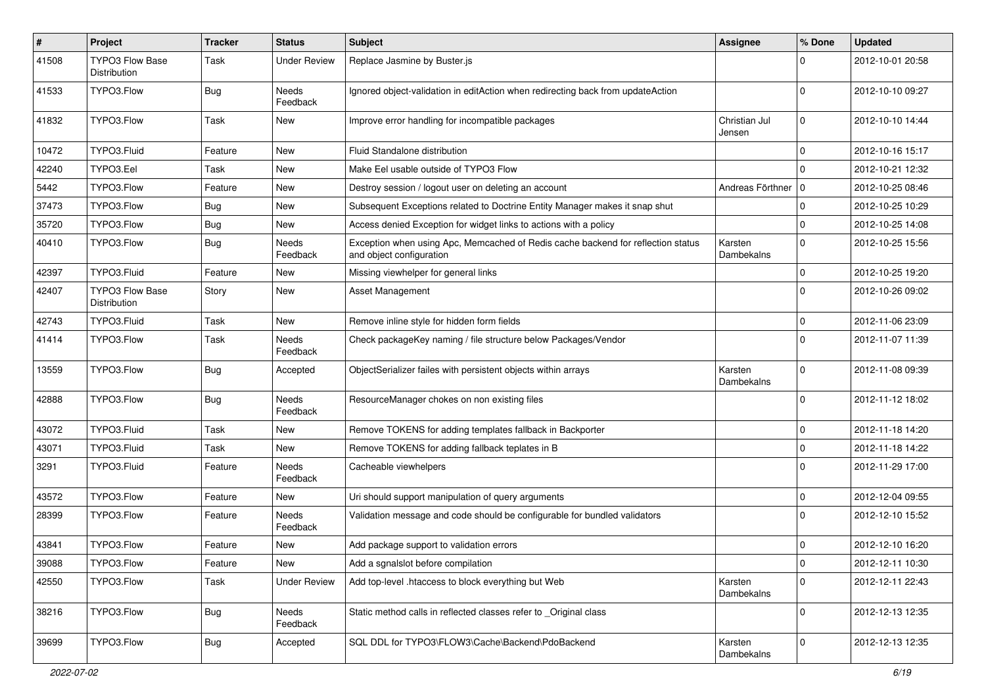| #     | Project                                | <b>Tracker</b> | <b>Status</b>       | Subject                                                                                                      | <b>Assignee</b>         | % Done       | <b>Updated</b>   |
|-------|----------------------------------------|----------------|---------------------|--------------------------------------------------------------------------------------------------------------|-------------------------|--------------|------------------|
| 41508 | TYPO3 Flow Base<br>Distribution        | Task           | <b>Under Review</b> | Replace Jasmine by Buster.js                                                                                 |                         | 0            | 2012-10-01 20:58 |
| 41533 | TYPO3.Flow                             | Bug            | Needs<br>Feedback   | Ignored object-validation in editAction when redirecting back from updateAction                              |                         | 0            | 2012-10-10 09:27 |
| 41832 | TYPO3.Flow                             | Task           | New                 | Improve error handling for incompatible packages                                                             | Christian Jul<br>Jensen | $\mathbf 0$  | 2012-10-10 14:44 |
| 10472 | TYPO3.Fluid                            | Feature        | New                 | Fluid Standalone distribution                                                                                |                         | $\mathbf 0$  | 2012-10-16 15:17 |
| 42240 | TYPO3.Eel                              | Task           | New                 | Make Eel usable outside of TYPO3 Flow                                                                        |                         | $\Omega$     | 2012-10-21 12:32 |
| 5442  | TYPO3.Flow                             | Feature        | New                 | Destroy session / logout user on deleting an account                                                         | Andreas Förthner   0    |              | 2012-10-25 08:46 |
| 37473 | TYPO3.Flow                             | <b>Bug</b>     | New                 | Subsequent Exceptions related to Doctrine Entity Manager makes it snap shut                                  |                         | 0            | 2012-10-25 10:29 |
| 35720 | TYPO3.Flow                             | Bug            | New                 | Access denied Exception for widget links to actions with a policy                                            |                         | $\mathbf 0$  | 2012-10-25 14:08 |
| 40410 | TYPO3.Flow                             | <b>Bug</b>     | Needs<br>Feedback   | Exception when using Apc, Memcached of Redis cache backend for reflection status<br>and object configuration | Karsten<br>Dambekalns   | $\Omega$     | 2012-10-25 15:56 |
| 42397 | TYPO3.Fluid                            | Feature        | New                 | Missing viewhelper for general links                                                                         |                         | 0            | 2012-10-25 19:20 |
| 42407 | <b>TYPO3 Flow Base</b><br>Distribution | Story          | New                 | <b>Asset Management</b>                                                                                      |                         | $\Omega$     | 2012-10-26 09:02 |
| 42743 | TYPO3.Fluid                            | Task           | New                 | Remove inline style for hidden form fields                                                                   |                         | 0            | 2012-11-06 23:09 |
| 41414 | TYPO3.Flow                             | Task           | Needs<br>Feedback   | Check packageKey naming / file structure below Packages/Vendor                                               |                         | $\Omega$     | 2012-11-07 11:39 |
| 13559 | TYPO3.Flow                             | <b>Bug</b>     | Accepted            | ObjectSerializer failes with persistent objects within arrays                                                | Karsten<br>Dambekalns   | $\Omega$     | 2012-11-08 09:39 |
| 42888 | TYPO3.Flow                             | <b>Bug</b>     | Needs<br>Feedback   | ResourceManager chokes on non existing files                                                                 |                         | 0            | 2012-11-12 18:02 |
| 43072 | TYPO3.Fluid                            | Task           | New                 | Remove TOKENS for adding templates fallback in Backporter                                                    |                         | 0            | 2012-11-18 14:20 |
| 43071 | TYPO3.Fluid                            | Task           | New                 | Remove TOKENS for adding fallback teplates in B                                                              |                         | $\mathbf 0$  | 2012-11-18 14:22 |
| 3291  | TYPO3.Fluid                            | Feature        | Needs<br>Feedback   | Cacheable viewhelpers                                                                                        |                         | $\Omega$     | 2012-11-29 17:00 |
| 43572 | TYPO3.Flow                             | Feature        | New                 | Uri should support manipulation of query arguments                                                           |                         | 0            | 2012-12-04 09:55 |
| 28399 | TYPO3.Flow                             | Feature        | Needs<br>Feedback   | Validation message and code should be configurable for bundled validators                                    |                         | $\Omega$     | 2012-12-10 15:52 |
| 43841 | TYPO3.Flow                             | Feature        | New                 | Add package support to validation errors                                                                     |                         | $\mathbf 0$  | 2012-12-10 16:20 |
| 39088 | TYPO3.Flow                             | Feature        | New                 | Add a sgnalslot before compilation                                                                           |                         | 0            | 2012-12-11 10:30 |
| 42550 | TYPO3.Flow                             | Task           | <b>Under Review</b> | Add top-level .htaccess to block everything but Web                                                          | Karsten<br>Dambekalns   | $\mathbf{0}$ | 2012-12-11 22:43 |
| 38216 | TYPO3.Flow                             | <b>Bug</b>     | Needs<br>Feedback   | Static method calls in reflected classes refer to _Original class                                            |                         | $\mathbf 0$  | 2012-12-13 12:35 |
| 39699 | TYPO3.Flow                             | Bug            | Accepted            | SQL DDL for TYPO3\FLOW3\Cache\Backend\PdoBackend                                                             | Karsten<br>Dambekalns   | $\mathbf 0$  | 2012-12-13 12:35 |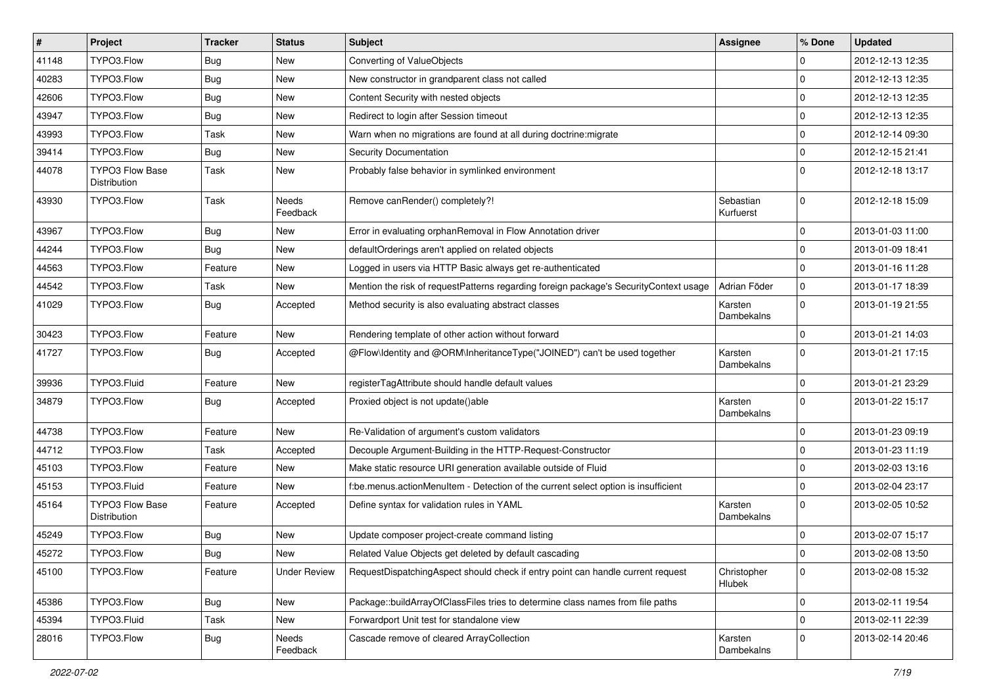| $\vert$ # | Project                                | <b>Tracker</b> | <b>Status</b>       | Subject                                                                               | <b>Assignee</b>        | % Done              | <b>Updated</b>   |
|-----------|----------------------------------------|----------------|---------------------|---------------------------------------------------------------------------------------|------------------------|---------------------|------------------|
| 41148     | TYPO3.Flow                             | Bug            | New                 | Converting of ValueObjects                                                            |                        | 0                   | 2012-12-13 12:35 |
| 40283     | TYPO3.Flow                             | Bug            | New                 | New constructor in grandparent class not called                                       |                        | $\mathbf 0$         | 2012-12-13 12:35 |
| 42606     | TYPO3.Flow                             | Bug            | New                 | Content Security with nested objects                                                  |                        | $\mathbf 0$         | 2012-12-13 12:35 |
| 43947     | TYPO3.Flow                             | <b>Bug</b>     | New                 | Redirect to login after Session timeout                                               |                        | $\mathbf 0$         | 2012-12-13 12:35 |
| 43993     | TYPO3.Flow                             | Task           | New                 | Warn when no migrations are found at all during doctrine: migrate                     |                        | 0                   | 2012-12-14 09:30 |
| 39414     | TYPO3.Flow                             | Bug            | New                 | <b>Security Documentation</b>                                                         |                        | 0                   | 2012-12-15 21:41 |
| 44078     | TYPO3 Flow Base<br>Distribution        | Task           | New                 | Probably false behavior in symlinked environment                                      |                        | $\Omega$            | 2012-12-18 13:17 |
| 43930     | TYPO3.Flow                             | Task           | Needs<br>Feedback   | Remove canRender() completely?!                                                       | Sebastian<br>Kurfuerst | $\mathbf 0$         | 2012-12-18 15:09 |
| 43967     | TYPO3.Flow                             | Bug            | New                 | Error in evaluating orphanRemoval in Flow Annotation driver                           |                        | $\mathbf 0$         | 2013-01-03 11:00 |
| 44244     | TYPO3.Flow                             | Bug            | New                 | defaultOrderings aren't applied on related objects                                    |                        | $\mathbf 0$         | 2013-01-09 18:41 |
| 44563     | TYPO3.Flow                             | Feature        | New                 | Logged in users via HTTP Basic always get re-authenticated                            |                        | $\mathbf 0$         | 2013-01-16 11:28 |
| 44542     | TYPO3.Flow                             | Task           | New                 | Mention the risk of requestPatterns regarding foreign package's SecurityContext usage | Adrian Föder           | $\mathbf 0$         | 2013-01-17 18:39 |
| 41029     | TYPO3.Flow                             | Bug            | Accepted            | Method security is also evaluating abstract classes                                   | Karsten<br>Dambekalns  | $\mathbf{0}$        | 2013-01-19 21:55 |
| 30423     | TYPO3.Flow                             | Feature        | New                 | Rendering template of other action without forward                                    |                        | $\mathbf 0$         | 2013-01-21 14:03 |
| 41727     | TYPO3.Flow                             | <b>Bug</b>     | Accepted            | @Flow\Identity and @ORM\InheritanceType("JOINED") can't be used together              | Karsten<br>Dambekalns  | $\mathbf{0}$        | 2013-01-21 17:15 |
| 39936     | TYPO3.Fluid                            | Feature        | New                 | registerTagAttribute should handle default values                                     |                        | $\mathbf 0$         | 2013-01-21 23:29 |
| 34879     | TYPO3.Flow                             | Bug            | Accepted            | Proxied object is not update()able                                                    | Karsten<br>Dambekalns  | $\mathbf 0$         | 2013-01-22 15:17 |
| 44738     | TYPO3.Flow                             | Feature        | New                 | Re-Validation of argument's custom validators                                         |                        | $\pmb{0}$           | 2013-01-23 09:19 |
| 44712     | TYPO3.Flow                             | Task           | Accepted            | Decouple Argument-Building in the HTTP-Request-Constructor                            |                        | $\mathbf 0$         | 2013-01-23 11:19 |
| 45103     | TYPO3.Flow                             | Feature        | New                 | Make static resource URI generation available outside of Fluid                        |                        | $\mathbf 0$         | 2013-02-03 13:16 |
| 45153     | TYPO3.Fluid                            | Feature        | New                 | f:be.menus.actionMenuItem - Detection of the current select option is insufficient    |                        | $\mathbf 0$         | 2013-02-04 23:17 |
| 45164     | <b>TYPO3 Flow Base</b><br>Distribution | Feature        | Accepted            | Define syntax for validation rules in YAML                                            | Karsten<br>Dambekalns  | $\mathbf 0$         | 2013-02-05 10:52 |
| 45249     | TYPO3.Flow                             | <b>Bug</b>     | New                 | Update composer project-create command listing                                        |                        | 0                   | 2013-02-07 15:17 |
| 45272     | TYPO3.Flow                             | <b>Bug</b>     | New                 | Related Value Objects get deleted by default cascading                                |                        | $\Omega$            | 2013-02-08 13:50 |
| 45100     | TYPO3.Flow                             | Feature        | <b>Under Review</b> | RequestDispatchingAspect should check if entry point can handle current request       | Christopher<br>Hlubek  | $\mathbf 0$         | 2013-02-08 15:32 |
| 45386     | TYPO3.Flow                             | Bug            | New                 | Package::buildArrayOfClassFiles tries to determine class names from file paths        |                        | 0                   | 2013-02-11 19:54 |
| 45394     | TYPO3.Fluid                            | Task           | New                 | Forwardport Unit test for standalone view                                             |                        | 0                   | 2013-02-11 22:39 |
| 28016     | TYPO3.Flow                             | <b>Bug</b>     | Needs<br>Feedback   | Cascade remove of cleared ArrayCollection                                             | Karsten<br>Dambekalns  | $\mathsf{O}\xspace$ | 2013-02-14 20:46 |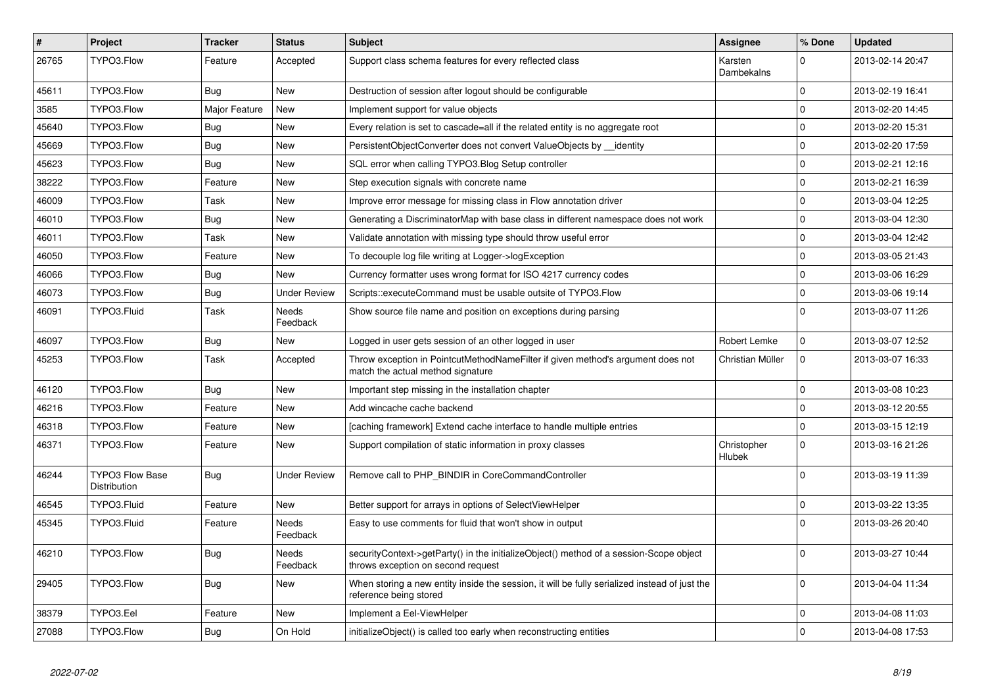| $\pmb{\#}$ | Project                                | <b>Tracker</b> | <b>Status</b>            | <b>Subject</b>                                                                                                               | <b>Assignee</b>       | % Done              | <b>Updated</b>   |
|------------|----------------------------------------|----------------|--------------------------|------------------------------------------------------------------------------------------------------------------------------|-----------------------|---------------------|------------------|
| 26765      | TYPO3.Flow                             | Feature        | Accepted                 | Support class schema features for every reflected class                                                                      | Karsten<br>Dambekalns | $\mathbf 0$         | 2013-02-14 20:47 |
| 45611      | TYPO3.Flow                             | Bug            | New                      | Destruction of session after logout should be configurable                                                                   |                       | 0                   | 2013-02-19 16:41 |
| 3585       | TYPO3.Flow                             | Major Feature  | New                      | Implement support for value objects                                                                                          |                       | $\pmb{0}$           | 2013-02-20 14:45 |
| 45640      | TYPO3.Flow                             | Bug            | New                      | Every relation is set to cascade=all if the related entity is no aggregate root                                              |                       | $\mathbf 0$         | 2013-02-20 15:31 |
| 45669      | TYPO3.Flow                             | Bug            | New                      | PersistentObjectConverter does not convert ValueObjects by identity                                                          |                       | $\pmb{0}$           | 2013-02-20 17:59 |
| 45623      | TYPO3.Flow                             | Bug            | New                      | SQL error when calling TYPO3.Blog Setup controller                                                                           |                       | $\mathbf 0$         | 2013-02-21 12:16 |
| 38222      | TYPO3.Flow                             | Feature        | New                      | Step execution signals with concrete name                                                                                    |                       | $\mathbf 0$         | 2013-02-21 16:39 |
| 46009      | TYPO3.Flow                             | Task           | New                      | Improve error message for missing class in Flow annotation driver                                                            |                       | $\mathbf 0$         | 2013-03-04 12:25 |
| 46010      | TYPO3.Flow                             | <b>Bug</b>     | New                      | Generating a DiscriminatorMap with base class in different namespace does not work                                           |                       | $\mathsf{O}\xspace$ | 2013-03-04 12:30 |
| 46011      | TYPO3.Flow                             | Task           | New                      | Validate annotation with missing type should throw useful error                                                              |                       | $\mathbf 0$         | 2013-03-04 12:42 |
| 46050      | TYPO3.Flow                             | Feature        | New                      | To decouple log file writing at Logger->logException                                                                         |                       | $\mathbf 0$         | 2013-03-05 21:43 |
| 46066      | TYPO3.Flow                             | <b>Bug</b>     | New                      | Currency formatter uses wrong format for ISO 4217 currency codes                                                             |                       | $\mathbf 0$         | 2013-03-06 16:29 |
| 46073      | TYPO3.Flow                             | Bug            | <b>Under Review</b>      | Scripts::executeCommand must be usable outsite of TYPO3.Flow                                                                 |                       | $\mathbf 0$         | 2013-03-06 19:14 |
| 46091      | TYPO3.Fluid                            | Task           | Needs<br>Feedback        | Show source file name and position on exceptions during parsing                                                              |                       | $\mathbf 0$         | 2013-03-07 11:26 |
| 46097      | TYPO3.Flow                             | Bug            | New                      | Logged in user gets session of an other logged in user                                                                       | Robert Lemke          | $\pmb{0}$           | 2013-03-07 12:52 |
| 45253      | TYPO3.Flow                             | Task           | Accepted                 | Throw exception in PointcutMethodNameFilter if given method's argument does not<br>match the actual method signature         | Christian Müller      | $\mathbf 0$         | 2013-03-07 16:33 |
| 46120      | TYPO3.Flow                             | Bug            | New                      | Important step missing in the installation chapter                                                                           |                       | $\mathbf 0$         | 2013-03-08 10:23 |
| 46216      | TYPO3.Flow                             | Feature        | New                      | Add wincache cache backend                                                                                                   |                       | $\pmb{0}$           | 2013-03-12 20:55 |
| 46318      | TYPO3.Flow                             | Feature        | New                      | [caching framework] Extend cache interface to handle multiple entries                                                        |                       | $\mathbf 0$         | 2013-03-15 12:19 |
| 46371      | TYPO3.Flow                             | Feature        | New                      | Support compilation of static information in proxy classes                                                                   | Christopher<br>Hlubek | $\mathbf 0$         | 2013-03-16 21:26 |
| 46244      | <b>TYPO3 Flow Base</b><br>Distribution | <b>Bug</b>     | <b>Under Review</b>      | Remove call to PHP_BINDIR in CoreCommandController                                                                           |                       | $\Omega$            | 2013-03-19 11:39 |
| 46545      | TYPO3.Fluid                            | Feature        | New                      | Better support for arrays in options of SelectViewHelper                                                                     |                       | 0                   | 2013-03-22 13:35 |
| 45345      | TYPO3.Fluid                            | Feature        | Needs<br>Feedback        | Easy to use comments for fluid that won't show in output                                                                     |                       | $\Omega$            | 2013-03-26 20:40 |
| 46210      | TYPO3.Flow                             | <b>Bug</b>     | <b>Needs</b><br>Feedback | securityContext->getParty() in the initializeObject() method of a session-Scope object<br>throws exception on second request |                       | $\Omega$            | 2013-03-27 10:44 |
| 29405      | TYPO3.Flow                             | Bug            | New                      | When storing a new entity inside the session, it will be fully serialized instead of just the<br>reference being stored      |                       | $\mathbf 0$         | 2013-04-04 11:34 |
| 38379      | TYPO3.Eel                              | Feature        | New                      | Implement a Eel-ViewHelper                                                                                                   |                       | $\mathbf 0$         | 2013-04-08 11:03 |
| 27088      | TYPO3.Flow                             | <b>Bug</b>     | On Hold                  | initializeObject() is called too early when reconstructing entities                                                          |                       | $\mathbf 0$         | 2013-04-08 17:53 |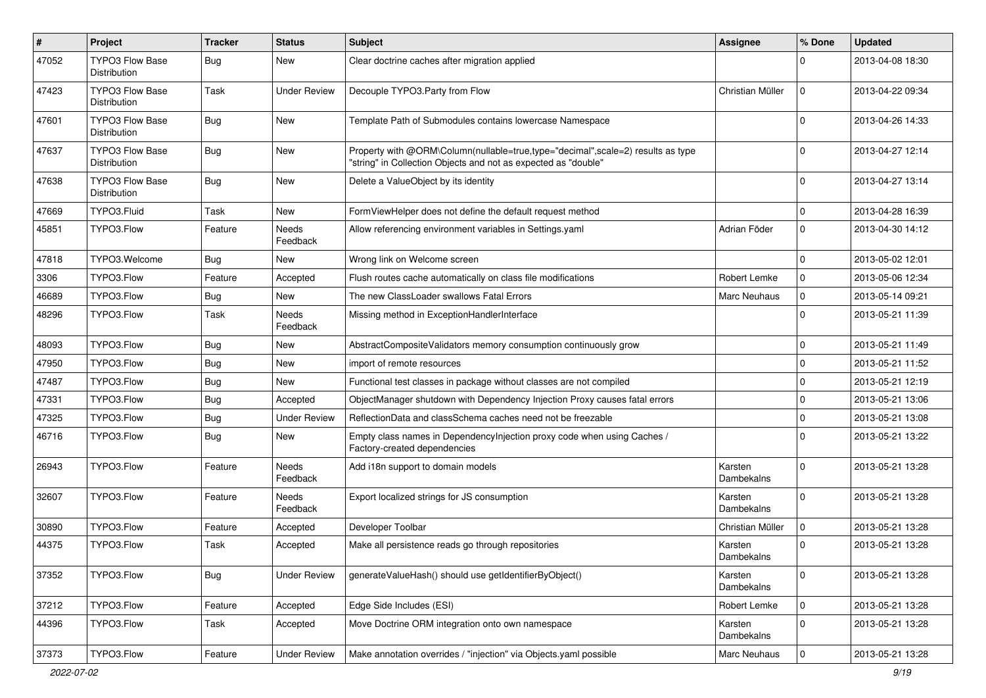| #     | Project                                | <b>Tracker</b> | <b>Status</b>       | Subject                                                                                                                                           | Assignee              | % Done      | <b>Updated</b>   |
|-------|----------------------------------------|----------------|---------------------|---------------------------------------------------------------------------------------------------------------------------------------------------|-----------------------|-------------|------------------|
| 47052 | <b>TYPO3 Flow Base</b><br>Distribution | Bug            | New                 | Clear doctrine caches after migration applied                                                                                                     |                       | $\Omega$    | 2013-04-08 18:30 |
| 47423 | <b>TYPO3 Flow Base</b><br>Distribution | Task           | Under Review        | Decouple TYPO3.Party from Flow                                                                                                                    | Christian Müller      | $\mathbf 0$ | 2013-04-22 09:34 |
| 47601 | <b>TYPO3 Flow Base</b><br>Distribution | <b>Bug</b>     | New                 | Template Path of Submodules contains lowercase Namespace                                                                                          |                       | $\Omega$    | 2013-04-26 14:33 |
| 47637 | <b>TYPO3 Flow Base</b><br>Distribution | Bug            | New                 | Property with @ORM\Column(nullable=true,type="decimal",scale=2) results as type<br>"string" in Collection Objects and not as expected as "double" |                       | $\Omega$    | 2013-04-27 12:14 |
| 47638 | TYPO3 Flow Base<br>Distribution        | Bug            | New                 | Delete a ValueObject by its identity                                                                                                              |                       | $\Omega$    | 2013-04-27 13:14 |
| 47669 | TYPO3.Fluid                            | Task           | New                 | FormViewHelper does not define the default request method                                                                                         |                       | $\mathbf 0$ | 2013-04-28 16:39 |
| 45851 | TYPO3.Flow                             | Feature        | Needs<br>Feedback   | Allow referencing environment variables in Settings.yaml                                                                                          | Adrian Föder          | $\mathbf 0$ | 2013-04-30 14:12 |
| 47818 | TYPO3. Welcome                         | Bug            | New                 | Wrong link on Welcome screen                                                                                                                      |                       | $\mathbf 0$ | 2013-05-02 12:01 |
| 3306  | TYPO3.Flow                             | Feature        | Accepted            | Flush routes cache automatically on class file modifications                                                                                      | Robert Lemke          | $\mathbf 0$ | 2013-05-06 12:34 |
| 46689 | TYPO3.Flow                             | Bug            | New                 | The new ClassLoader swallows Fatal Errors                                                                                                         | <b>Marc Neuhaus</b>   | $\mathbf 0$ | 2013-05-14 09:21 |
| 48296 | TYPO3.Flow                             | Task           | Needs<br>Feedback   | Missing method in ExceptionHandlerInterface                                                                                                       |                       | $\Omega$    | 2013-05-21 11:39 |
| 48093 | TYPO3.Flow                             | <b>Bug</b>     | New                 | AbstractCompositeValidators memory consumption continuously grow                                                                                  |                       | 0           | 2013-05-21 11:49 |
| 47950 | TYPO3.Flow                             | <b>Bug</b>     | New                 | import of remote resources                                                                                                                        |                       | $\mathbf 0$ | 2013-05-21 11:52 |
| 47487 | TYPO3.Flow                             | Bug            | New                 | Functional test classes in package without classes are not compiled                                                                               |                       | 0           | 2013-05-21 12:19 |
| 47331 | TYPO3.Flow                             | <b>Bug</b>     | Accepted            | ObjectManager shutdown with Dependency Injection Proxy causes fatal errors                                                                        |                       | $\mathbf 0$ | 2013-05-21 13:06 |
| 47325 | TYPO3.Flow                             | Bug            | <b>Under Review</b> | ReflectionData and classSchema caches need not be freezable                                                                                       |                       | $\mathbf 0$ | 2013-05-21 13:08 |
| 46716 | TYPO3.Flow                             | Bug            | New                 | Empty class names in Dependencylnjection proxy code when using Caches /<br>Factory-created dependencies                                           |                       | $\Omega$    | 2013-05-21 13:22 |
| 26943 | TYPO3.Flow                             | Feature        | Needs<br>Feedback   | Add i18n support to domain models                                                                                                                 | Karsten<br>Dambekalns | $\Omega$    | 2013-05-21 13:28 |
| 32607 | TYPO3.Flow                             | Feature        | Needs<br>Feedback   | Export localized strings for JS consumption                                                                                                       | Karsten<br>Dambekalns | $\Omega$    | 2013-05-21 13:28 |
| 30890 | TYPO3.Flow                             | Feature        | Accepted            | Developer Toolbar                                                                                                                                 | Christian Müller      | $\mathbf 0$ | 2013-05-21 13:28 |
| 44375 | TYPO3.Flow                             | Task           | Accepted            | Make all persistence reads go through repositories                                                                                                | Karsten<br>Dambekalns | $\Omega$    | 2013-05-21 13:28 |
| 37352 | TYPO3.Flow                             | <b>Bug</b>     | <b>Under Review</b> | generateValueHash() should use getIdentifierByObject()                                                                                            | Karsten<br>Dambekalns | 0           | 2013-05-21 13:28 |
| 37212 | TYPO3.Flow                             | Feature        | Accepted            | Edge Side Includes (ESI)                                                                                                                          | Robert Lemke          | $\mathbf 0$ | 2013-05-21 13:28 |
| 44396 | TYPO3.Flow                             | Task           | Accepted            | Move Doctrine ORM integration onto own namespace                                                                                                  | Karsten<br>Dambekalns | $\mathbf 0$ | 2013-05-21 13:28 |
| 37373 | TYPO3.Flow                             | Feature        | <b>Under Review</b> | Make annotation overrides / "injection" via Objects.yaml possible                                                                                 | Marc Neuhaus          | $\mathbf 0$ | 2013-05-21 13:28 |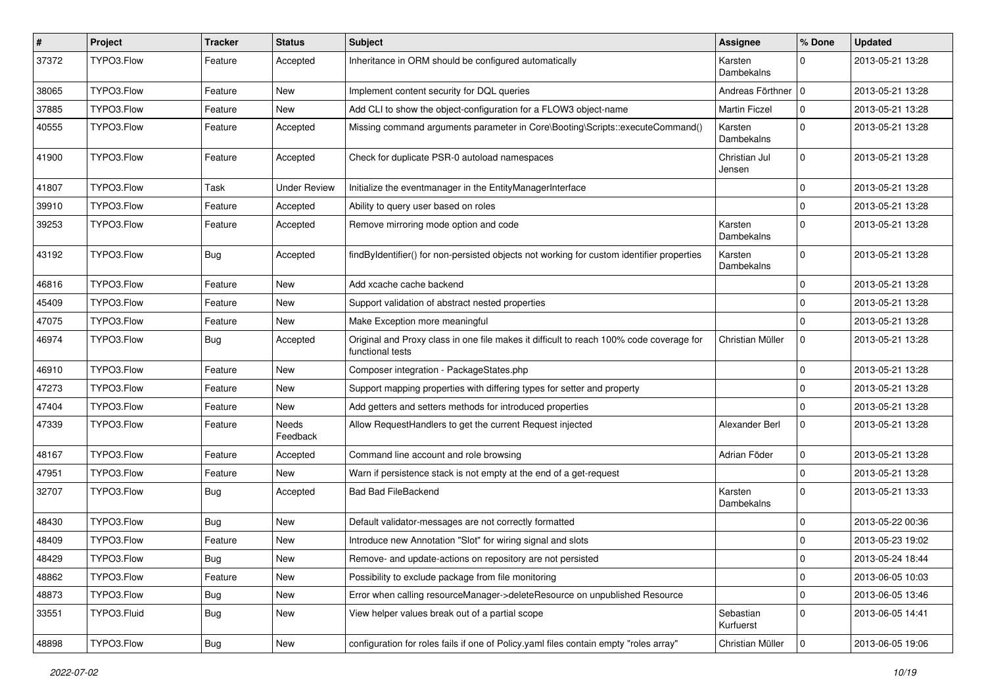| $\pmb{\#}$ | Project     | <b>Tracker</b> | <b>Status</b>     | Subject                                                                                                     | Assignee                | % Done      | <b>Updated</b>   |
|------------|-------------|----------------|-------------------|-------------------------------------------------------------------------------------------------------------|-------------------------|-------------|------------------|
| 37372      | TYPO3.Flow  | Feature        | Accepted          | Inheritance in ORM should be configured automatically                                                       | Karsten<br>Dambekalns   | $\Omega$    | 2013-05-21 13:28 |
| 38065      | TYPO3.Flow  | Feature        | New               | Implement content security for DQL queries                                                                  | Andreas Förthner   0    |             | 2013-05-21 13:28 |
| 37885      | TYPO3.Flow  | Feature        | New               | Add CLI to show the object-configuration for a FLOW3 object-name                                            | <b>Martin Ficzel</b>    | $\mathbf 0$ | 2013-05-21 13:28 |
| 40555      | TYPO3.Flow  | Feature        | Accepted          | Missing command arguments parameter in Core\Booting\Scripts::executeCommand()                               | Karsten<br>Dambekalns   | $\Omega$    | 2013-05-21 13:28 |
| 41900      | TYPO3.Flow  | Feature        | Accepted          | Check for duplicate PSR-0 autoload namespaces                                                               | Christian Jul<br>Jensen | $\Omega$    | 2013-05-21 13:28 |
| 41807      | TYPO3.Flow  | Task           | Under Review      | Initialize the eventmanager in the EntityManagerInterface                                                   |                         | $\Omega$    | 2013-05-21 13:28 |
| 39910      | TYPO3.Flow  | Feature        | Accepted          | Ability to query user based on roles                                                                        |                         | $\mathbf 0$ | 2013-05-21 13:28 |
| 39253      | TYPO3.Flow  | Feature        | Accepted          | Remove mirroring mode option and code                                                                       | Karsten<br>Dambekalns   | $\Omega$    | 2013-05-21 13:28 |
| 43192      | TYPO3.Flow  | <b>Bug</b>     | Accepted          | findByIdentifier() for non-persisted objects not working for custom identifier properties                   | Karsten<br>Dambekalns   | $\Omega$    | 2013-05-21 13:28 |
| 46816      | TYPO3.Flow  | Feature        | New               | Add xcache cache backend                                                                                    |                         | $\Omega$    | 2013-05-21 13:28 |
| 45409      | TYPO3.Flow  | Feature        | New               | Support validation of abstract nested properties                                                            |                         | $\mathbf 0$ | 2013-05-21 13:28 |
| 47075      | TYPO3.Flow  | Feature        | New               | Make Exception more meaningful                                                                              |                         | $\Omega$    | 2013-05-21 13:28 |
| 46974      | TYPO3.Flow  | <b>Bug</b>     | Accepted          | Original and Proxy class in one file makes it difficult to reach 100% code coverage for<br>functional tests | Christian Müller        | $\mathbf 0$ | 2013-05-21 13:28 |
| 46910      | TYPO3.Flow  | Feature        | New               | Composer integration - PackageStates.php                                                                    |                         | $\Omega$    | 2013-05-21 13:28 |
| 47273      | TYPO3.Flow  | Feature        | New               | Support mapping properties with differing types for setter and property                                     |                         | $\Omega$    | 2013-05-21 13:28 |
| 47404      | TYPO3.Flow  | Feature        | New               | Add getters and setters methods for introduced properties                                                   |                         | $\Omega$    | 2013-05-21 13:28 |
| 47339      | TYPO3.Flow  | Feature        | Needs<br>Feedback | Allow RequestHandlers to get the current Request injected                                                   | Alexander Berl          | $\mathbf 0$ | 2013-05-21 13:28 |
| 48167      | TYPO3.Flow  | Feature        | Accepted          | Command line account and role browsing                                                                      | Adrian Föder            | $\mathbf 0$ | 2013-05-21 13:28 |
| 47951      | TYPO3.Flow  | Feature        | New               | Warn if persistence stack is not empty at the end of a get-request                                          |                         | $\Omega$    | 2013-05-21 13:28 |
| 32707      | TYPO3.Flow  | <b>Bug</b>     | Accepted          | <b>Bad Bad FileBackend</b>                                                                                  | Karsten<br>Dambekalns   | $\Omega$    | 2013-05-21 13:33 |
| 48430      | TYPO3.Flow  | Bug            | New               | Default validator-messages are not correctly formatted                                                      |                         | $\Omega$    | 2013-05-22 00:36 |
| 48409      | TYPO3.Flow  | Feature        | New               | Introduce new Annotation "Slot" for wiring signal and slots                                                 |                         | $\mathbf 0$ | 2013-05-23 19:02 |
| 48429      | TYPO3.Flow  | <b>Bug</b>     | New               | Remove- and update-actions on repository are not persisted                                                  |                         | 0           | 2013-05-24 18:44 |
| 48862      | TYPO3.Flow  | Feature        | New               | Possibility to exclude package from file monitoring                                                         |                         | 0           | 2013-06-05 10:03 |
| 48873      | TYPO3.Flow  | <b>Bug</b>     | New               | Error when calling resourceManager->deleteResource on unpublished Resource                                  |                         | $\mathsf 0$ | 2013-06-05 13:46 |
| 33551      | TYPO3.Fluid | <b>Bug</b>     | New               | View helper values break out of a partial scope                                                             | Sebastian<br>Kurfuerst  | $\mathbf 0$ | 2013-06-05 14:41 |
| 48898      | TYPO3.Flow  | Bug            | New               | configuration for roles fails if one of Policy yaml files contain empty "roles array"                       | Christian Müller        | $\mathbf 0$ | 2013-06-05 19:06 |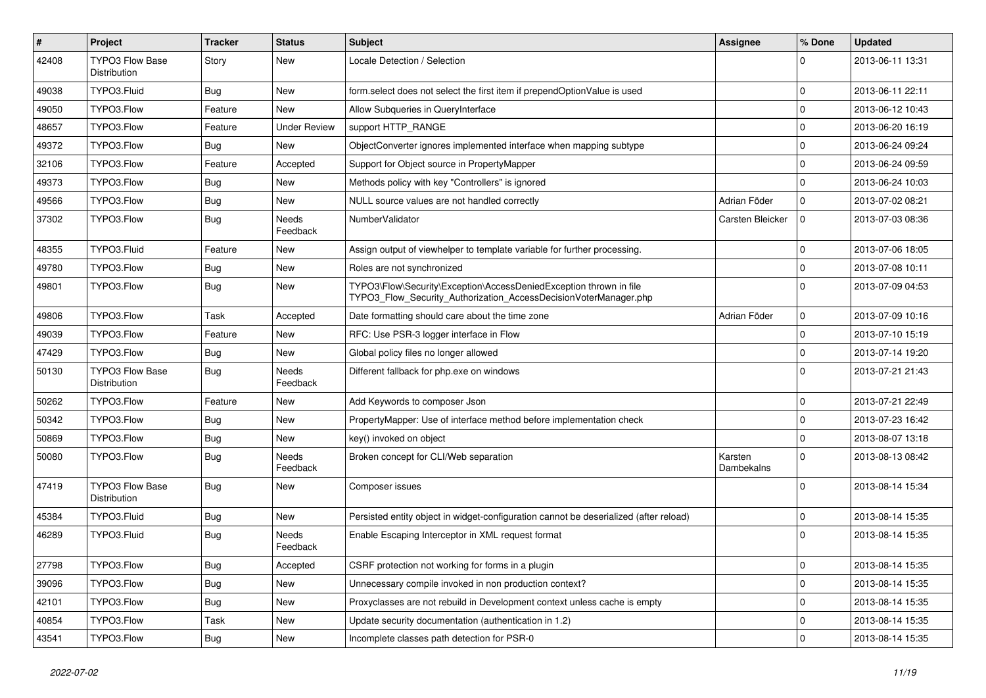| $\vert$ # | Project                                | <b>Tracker</b> | <b>Status</b>            | <b>Subject</b>                                                                                                                         | Assignee              | % Done      | <b>Updated</b>   |
|-----------|----------------------------------------|----------------|--------------------------|----------------------------------------------------------------------------------------------------------------------------------------|-----------------------|-------------|------------------|
| 42408     | <b>TYPO3 Flow Base</b><br>Distribution | Story          | New                      | Locale Detection / Selection                                                                                                           |                       | 0           | 2013-06-11 13:31 |
| 49038     | TYPO3.Fluid                            | Bug            | New                      | form.select does not select the first item if prependOptionValue is used                                                               |                       | $\mathbf 0$ | 2013-06-11 22:11 |
| 49050     | TYPO3.Flow                             | Feature        | New                      | Allow Subqueries in QueryInterface                                                                                                     |                       | 0           | 2013-06-12 10:43 |
| 48657     | TYPO3.Flow                             | Feature        | <b>Under Review</b>      | support HTTP_RANGE                                                                                                                     |                       | $\mathbf 0$ | 2013-06-20 16:19 |
| 49372     | TYPO3.Flow                             | <b>Bug</b>     | New                      | ObjectConverter ignores implemented interface when mapping subtype                                                                     |                       | $\mathbf 0$ | 2013-06-24 09:24 |
| 32106     | TYPO3.Flow                             | Feature        | Accepted                 | Support for Object source in PropertyMapper                                                                                            |                       | $\mathbf 0$ | 2013-06-24 09:59 |
| 49373     | TYPO3.Flow                             | Bug            | New                      | Methods policy with key "Controllers" is ignored                                                                                       |                       | $\mathbf 0$ | 2013-06-24 10:03 |
| 49566     | TYPO3.Flow                             | Bug            | New                      | NULL source values are not handled correctly                                                                                           | Adrian Föder          | 0           | 2013-07-02 08:21 |
| 37302     | TYPO3.Flow                             | <b>Bug</b>     | <b>Needs</b><br>Feedback | NumberValidator                                                                                                                        | Carsten Bleicker      | $\mathbf 0$ | 2013-07-03 08:36 |
| 48355     | TYPO3.Fluid                            | Feature        | New                      | Assign output of viewhelper to template variable for further processing.                                                               |                       | $\mathbf 0$ | 2013-07-06 18:05 |
| 49780     | TYPO3.Flow                             | <b>Bug</b>     | New                      | Roles are not synchronized                                                                                                             |                       | 0           | 2013-07-08 10:11 |
| 49801     | TYPO3.Flow                             | <b>Bug</b>     | New                      | TYPO3\Flow\Security\Exception\AccessDeniedException thrown in file<br>TYPO3 Flow Security Authorization AccessDecisionVoterManager.php |                       | $\mathbf 0$ | 2013-07-09 04:53 |
| 49806     | TYPO3.Flow                             | Task           | Accepted                 | Date formatting should care about the time zone                                                                                        | Adrian Föder          | $\mathbf 0$ | 2013-07-09 10:16 |
| 49039     | TYPO3.Flow                             | Feature        | New                      | RFC: Use PSR-3 logger interface in Flow                                                                                                |                       | 0           | 2013-07-10 15:19 |
| 47429     | TYPO3.Flow                             | Bug            | New                      | Global policy files no longer allowed                                                                                                  |                       | 0           | 2013-07-14 19:20 |
| 50130     | <b>TYPO3 Flow Base</b><br>Distribution | Bug            | Needs<br>Feedback        | Different fallback for php.exe on windows                                                                                              |                       | $\Omega$    | 2013-07-21 21:43 |
| 50262     | TYPO3.Flow                             | Feature        | New                      | Add Keywords to composer Json                                                                                                          |                       | $\mathbf 0$ | 2013-07-21 22:49 |
| 50342     | TYPO3.Flow                             | Bug            | New                      | PropertyMapper: Use of interface method before implementation check                                                                    |                       | $\mathbf 0$ | 2013-07-23 16:42 |
| 50869     | TYPO3.Flow                             | Bug            | New                      | key() invoked on object                                                                                                                |                       | $\mathbf 0$ | 2013-08-07 13:18 |
| 50080     | TYPO3.Flow                             | Bug            | Needs<br>Feedback        | Broken concept for CLI/Web separation                                                                                                  | Karsten<br>Dambekalns | $\mathbf 0$ | 2013-08-13 08:42 |
| 47419     | TYPO3 Flow Base<br>Distribution        | Bug            | New                      | Composer issues                                                                                                                        |                       | $\Omega$    | 2013-08-14 15:34 |
| 45384     | TYPO3.Fluid                            | <b>Bug</b>     | New                      | Persisted entity object in widget-configuration cannot be deserialized (after reload)                                                  |                       | 0           | 2013-08-14 15:35 |
| 46289     | TYPO3.Fluid                            | Bug            | Needs<br>Feedback        | Enable Escaping Interceptor in XML request format                                                                                      |                       | $\Omega$    | 2013-08-14 15:35 |
| 27798     | TYPO3.Flow                             | <b>Bug</b>     | Accepted                 | CSRF protection not working for forms in a plugin                                                                                      |                       | $\mathbf 0$ | 2013-08-14 15:35 |
| 39096     | TYPO3.Flow                             | <b>Bug</b>     | New                      | Unnecessary compile invoked in non production context?                                                                                 |                       | $\mathbf 0$ | 2013-08-14 15:35 |
| 42101     | TYPO3.Flow                             | <b>Bug</b>     | New                      | Proxyclasses are not rebuild in Development context unless cache is empty                                                              |                       | $\mathbf 0$ | 2013-08-14 15:35 |
| 40854     | TYPO3.Flow                             | Task           | New                      | Update security documentation (authentication in 1.2)                                                                                  |                       | $\mathbf 0$ | 2013-08-14 15:35 |
| 43541     | TYPO3.Flow                             | Bug            | New                      | Incomplete classes path detection for PSR-0                                                                                            |                       | $\mathbf 0$ | 2013-08-14 15:35 |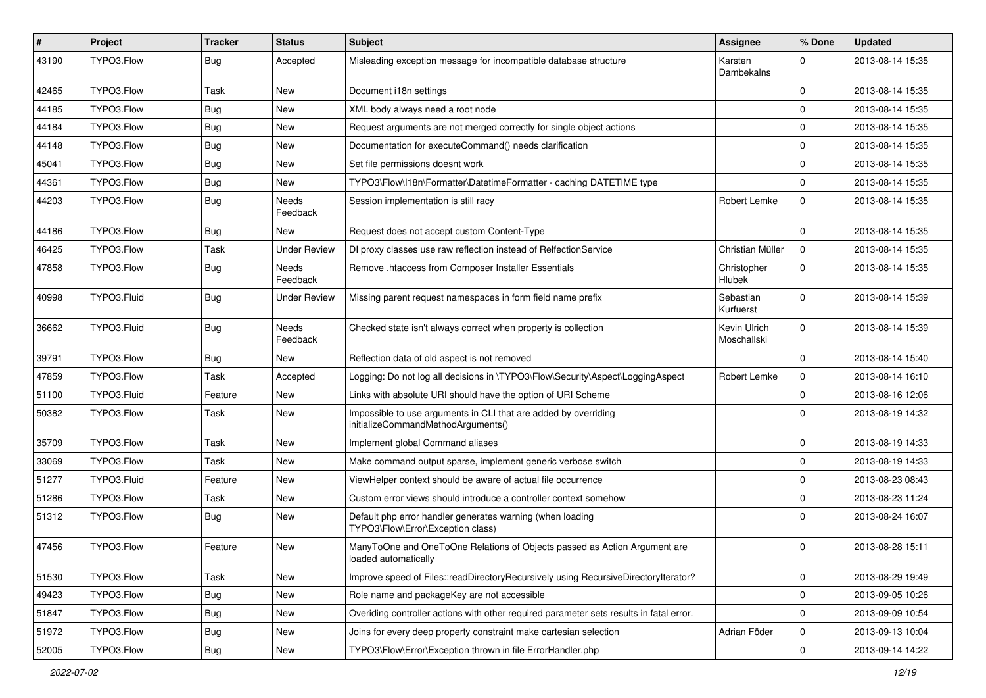| #     | Project     | <b>Tracker</b> | <b>Status</b>       | <b>Subject</b>                                                                                        | Assignee                     | % Done      | <b>Updated</b>   |
|-------|-------------|----------------|---------------------|-------------------------------------------------------------------------------------------------------|------------------------------|-------------|------------------|
| 43190 | TYPO3.Flow  | Bug            | Accepted            | Misleading exception message for incompatible database structure                                      | Karsten<br>Dambekalns        | $\Omega$    | 2013-08-14 15:35 |
| 42465 | TYPO3.Flow  | Task           | New                 | Document i18n settings                                                                                |                              | $\mathbf 0$ | 2013-08-14 15:35 |
| 44185 | TYPO3.Flow  | Bug            | New                 | XML body always need a root node                                                                      |                              | $\Omega$    | 2013-08-14 15:35 |
| 44184 | TYPO3.Flow  | <b>Bug</b>     | New                 | Request arguments are not merged correctly for single object actions                                  |                              | $\Omega$    | 2013-08-14 15:35 |
| 44148 | TYPO3.Flow  | Bug            | New                 | Documentation for executeCommand() needs clarification                                                |                              | $\mathbf 0$ | 2013-08-14 15:35 |
| 45041 | TYPO3.Flow  | <b>Bug</b>     | New                 | Set file permissions doesnt work                                                                      |                              | $\Omega$    | 2013-08-14 15:35 |
| 44361 | TYPO3.Flow  | Bug            | New                 | TYPO3\Flow\I18n\Formatter\DatetimeFormatter - caching DATETIME type                                   |                              | $\mathbf 0$ | 2013-08-14 15:35 |
| 44203 | TYPO3.Flow  | Bug            | Needs<br>Feedback   | Session implementation is still racy                                                                  | <b>Robert Lemke</b>          | $\mathbf 0$ | 2013-08-14 15:35 |
| 44186 | TYPO3.Flow  | Bug            | New                 | Request does not accept custom Content-Type                                                           |                              | $\mathbf 0$ | 2013-08-14 15:35 |
| 46425 | TYPO3.Flow  | Task           | <b>Under Review</b> | DI proxy classes use raw reflection instead of RelfectionService                                      | Christian Müller             | 0           | 2013-08-14 15:35 |
| 47858 | TYPO3.Flow  | <b>Bug</b>     | Needs<br>Feedback   | Remove .htaccess from Composer Installer Essentials                                                   | Christopher<br><b>Hlubek</b> | $\Omega$    | 2013-08-14 15:35 |
| 40998 | TYPO3.Fluid | <b>Bug</b>     | Under Review        | Missing parent request namespaces in form field name prefix                                           | Sebastian<br>Kurfuerst       | $\Omega$    | 2013-08-14 15:39 |
| 36662 | TYPO3.Fluid | <b>Bug</b>     | Needs<br>Feedback   | Checked state isn't always correct when property is collection                                        | Kevin Ulrich<br>Moschallski  | $\Omega$    | 2013-08-14 15:39 |
| 39791 | TYPO3.Flow  | Bug            | New                 | Reflection data of old aspect is not removed                                                          |                              | $\mathbf 0$ | 2013-08-14 15:40 |
| 47859 | TYPO3.Flow  | Task           | Accepted            | Logging: Do not log all decisions in \TYPO3\Flow\Security\Aspect\LoggingAspect                        | Robert Lemke                 | $\mathbf 0$ | 2013-08-14 16:10 |
| 51100 | TYPO3.Fluid | Feature        | New                 | Links with absolute URI should have the option of URI Scheme                                          |                              | $\Omega$    | 2013-08-16 12:06 |
| 50382 | TYPO3.Flow  | Task           | New                 | Impossible to use arguments in CLI that are added by overriding<br>initializeCommandMethodArguments() |                              | $\Omega$    | 2013-08-19 14:32 |
| 35709 | TYPO3.Flow  | Task           | New                 | Implement global Command aliases                                                                      |                              | $\mathbf 0$ | 2013-08-19 14:33 |
| 33069 | TYPO3.Flow  | Task           | New                 | Make command output sparse, implement generic verbose switch                                          |                              | $\mathbf 0$ | 2013-08-19 14:33 |
| 51277 | TYPO3.Fluid | Feature        | New                 | ViewHelper context should be aware of actual file occurrence                                          |                              | $\mathbf 0$ | 2013-08-23 08:43 |
| 51286 | TYPO3.Flow  | Task           | New                 | Custom error views should introduce a controller context somehow                                      |                              | $\mathbf 0$ | 2013-08-23 11:24 |
| 51312 | TYPO3.Flow  | Bug            | New                 | Default php error handler generates warning (when loading<br>TYPO3\Flow\Error\Exception class)        |                              | $\Omega$    | 2013-08-24 16:07 |
| 47456 | TYPO3.Flow  | Feature        | New                 | ManyToOne and OneToOne Relations of Objects passed as Action Argument are<br>loaded automatically     |                              | $\Omega$    | 2013-08-28 15:11 |
| 51530 | TYPO3.Flow  | Task           | New                 | Improve speed of Files::readDirectoryRecursively using RecursiveDirectoryIterator?                    |                              | $\mathbf 0$ | 2013-08-29 19:49 |
| 49423 | TYPO3.Flow  | <b>Bug</b>     | New                 | Role name and packageKey are not accessible                                                           |                              | $\mathbf 0$ | 2013-09-05 10:26 |
| 51847 | TYPO3.Flow  | <b>Bug</b>     | New                 | Overiding controller actions with other required parameter sets results in fatal error.               |                              | $\mathbf 0$ | 2013-09-09 10:54 |
| 51972 | TYPO3.Flow  | <b>Bug</b>     | New                 | Joins for every deep property constraint make cartesian selection                                     | Adrian Föder                 | $\mathbf 0$ | 2013-09-13 10:04 |
| 52005 | TYPO3.Flow  | <b>Bug</b>     | New                 | TYPO3\Flow\Error\Exception thrown in file ErrorHandler.php                                            |                              | $\mathbf 0$ | 2013-09-14 14:22 |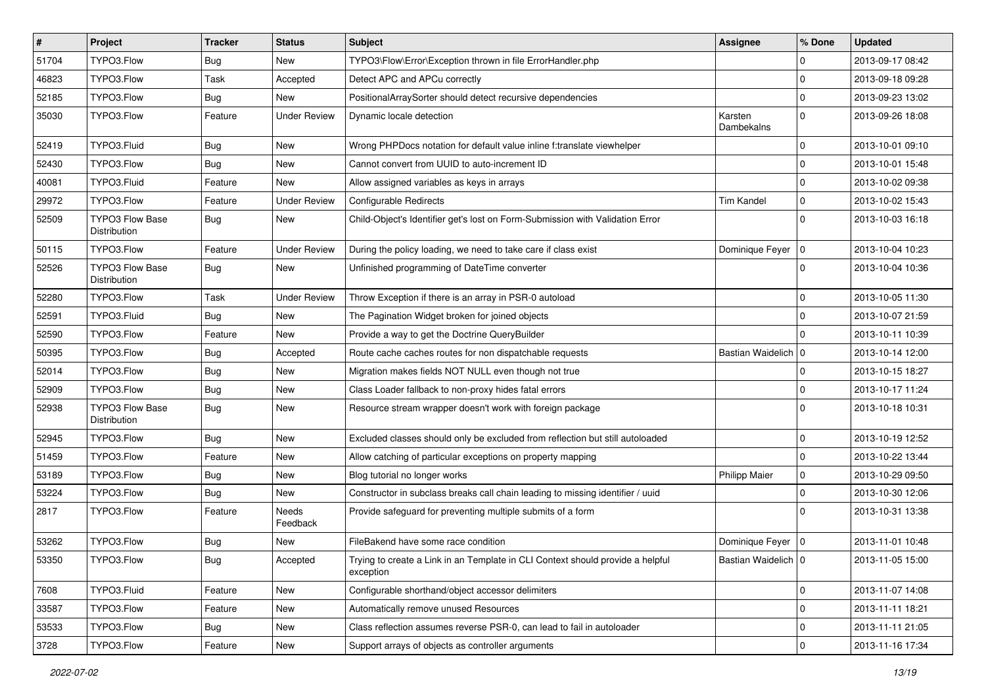| $\sharp$ | Project                                | <b>Tracker</b> | <b>Status</b>       | Subject                                                                                     | <b>Assignee</b>       | % Done       | <b>Updated</b>   |
|----------|----------------------------------------|----------------|---------------------|---------------------------------------------------------------------------------------------|-----------------------|--------------|------------------|
| 51704    | TYPO3.Flow                             | Bug            | New                 | TYPO3\Flow\Error\Exception thrown in file ErrorHandler.php                                  |                       | 0            | 2013-09-17 08:42 |
| 46823    | TYPO3.Flow                             | Task           | Accepted            | Detect APC and APCu correctly                                                               |                       | 0            | 2013-09-18 09:28 |
| 52185    | TYPO3.Flow                             | Bug            | New                 | PositionalArraySorter should detect recursive dependencies                                  |                       | $\Omega$     | 2013-09-23 13:02 |
| 35030    | TYPO3.Flow                             | Feature        | <b>Under Review</b> | Dynamic locale detection                                                                    | Karsten<br>Dambekalns | $\Omega$     | 2013-09-26 18:08 |
| 52419    | TYPO3.Fluid                            | <b>Bug</b>     | New                 | Wrong PHPDocs notation for default value inline f:translate viewhelper                      |                       | $\mathbf 0$  | 2013-10-01 09:10 |
| 52430    | TYPO3.Flow                             | <b>Bug</b>     | New                 | Cannot convert from UUID to auto-increment ID                                               |                       | $\mathbf 0$  | 2013-10-01 15:48 |
| 40081    | TYPO3.Fluid                            | Feature        | New                 | Allow assigned variables as keys in arrays                                                  |                       | $\mathbf 0$  | 2013-10-02 09:38 |
| 29972    | TYPO3.Flow                             | Feature        | <b>Under Review</b> | Configurable Redirects                                                                      | <b>Tim Kandel</b>     | $\mathbf 0$  | 2013-10-02 15:43 |
| 52509    | <b>TYPO3 Flow Base</b><br>Distribution | Bug            | New                 | Child-Object's Identifier get's lost on Form-Submission with Validation Error               |                       | $\Omega$     | 2013-10-03 16:18 |
| 50115    | TYPO3.Flow                             | Feature        | <b>Under Review</b> | During the policy loading, we need to take care if class exist                              | Dominique Feyer   0   |              | 2013-10-04 10:23 |
| 52526    | <b>TYPO3 Flow Base</b><br>Distribution | Bug            | New                 | Unfinished programming of DateTime converter                                                |                       | $\Omega$     | 2013-10-04 10:36 |
| 52280    | TYPO3.Flow                             | Task           | <b>Under Review</b> | Throw Exception if there is an array in PSR-0 autoload                                      |                       | $\mathbf 0$  | 2013-10-05 11:30 |
| 52591    | TYPO3.Fluid                            | Bug            | New                 | The Pagination Widget broken for joined objects                                             |                       | $\mathbf 0$  | 2013-10-07 21:59 |
| 52590    | TYPO3.Flow                             | Feature        | New                 | Provide a way to get the Doctrine QueryBuilder                                              |                       | <sup>0</sup> | 2013-10-11 10:39 |
| 50395    | TYPO3.Flow                             | Bug            | Accepted            | Route cache caches routes for non dispatchable requests                                     | Bastian Waidelich   0 |              | 2013-10-14 12:00 |
| 52014    | TYPO3.Flow                             | <b>Bug</b>     | New                 | Migration makes fields NOT NULL even though not true                                        |                       | 0            | 2013-10-15 18:27 |
| 52909    | TYPO3.Flow                             | Bug            | New                 | Class Loader fallback to non-proxy hides fatal errors                                       |                       | $\mathbf 0$  | 2013-10-17 11:24 |
| 52938    | <b>TYPO3 Flow Base</b><br>Distribution | Bug            | New                 | Resource stream wrapper doesn't work with foreign package                                   |                       | $\Omega$     | 2013-10-18 10:31 |
| 52945    | TYPO3.Flow                             | <b>Bug</b>     | New                 | Excluded classes should only be excluded from reflection but still autoloaded               |                       | $\mathbf 0$  | 2013-10-19 12:52 |
| 51459    | TYPO3.Flow                             | Feature        | New                 | Allow catching of particular exceptions on property mapping                                 |                       | $\mathbf 0$  | 2013-10-22 13:44 |
| 53189    | TYPO3.Flow                             | Bug            | New                 | Blog tutorial no longer works                                                               | <b>Philipp Maier</b>  | $\mathbf 0$  | 2013-10-29 09:50 |
| 53224    | TYPO3.Flow                             | Bug            | New                 | Constructor in subclass breaks call chain leading to missing identifier / uuid              |                       | $\Omega$     | 2013-10-30 12:06 |
| 2817     | TYPO3.Flow                             | Feature        | Needs<br>Feedback   | Provide safeguard for preventing multiple submits of a form                                 |                       | 0            | 2013-10-31 13:38 |
| 53262    | TYPO3.Flow                             | <b>Bug</b>     | New                 | FileBakend have some race condition                                                         | Dominique Feyer   0   |              | 2013-11-01 10:48 |
| 53350    | TYPO3.Flow                             | <b>Bug</b>     | Accepted            | Trying to create a Link in an Template in CLI Context should provide a helpful<br>exception | Bastian Waidelich 0   |              | 2013-11-05 15:00 |
| 7608     | TYPO3.Fluid                            | Feature        | New                 | Configurable shorthand/object accessor delimiters                                           |                       | $\mathbf 0$  | 2013-11-07 14:08 |
| 33587    | TYPO3.Flow                             | Feature        | New                 | Automatically remove unused Resources                                                       |                       | $\mathbf 0$  | 2013-11-11 18:21 |
| 53533    | TYPO3.Flow                             | <b>Bug</b>     | New                 | Class reflection assumes reverse PSR-0, can lead to fail in autoloader                      |                       | $\mathbf 0$  | 2013-11-11 21:05 |
| 3728     | TYPO3.Flow                             | Feature        | New                 | Support arrays of objects as controller arguments                                           |                       | $\pmb{0}$    | 2013-11-16 17:34 |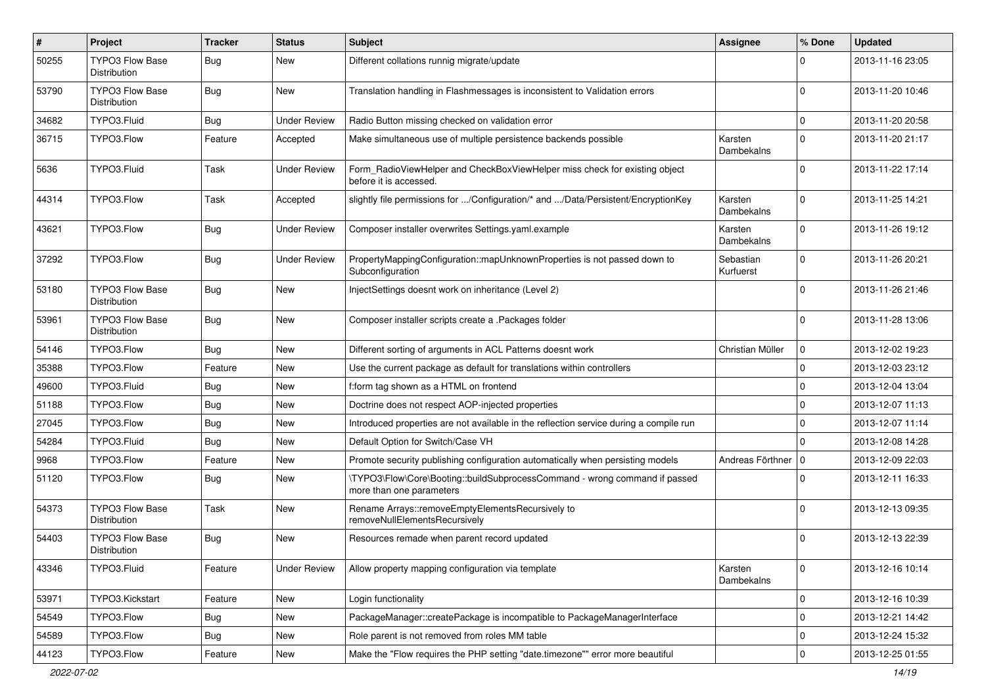| $\sharp$ | Project                                       | <b>Tracker</b> | <b>Status</b>       | Subject                                                                                                | Assignee               | % Done      | <b>Updated</b>   |
|----------|-----------------------------------------------|----------------|---------------------|--------------------------------------------------------------------------------------------------------|------------------------|-------------|------------------|
| 50255    | <b>TYPO3 Flow Base</b><br>Distribution        | Bug            | New                 | Different collations runnig migrate/update                                                             |                        | 0           | 2013-11-16 23:05 |
| 53790    | <b>TYPO3 Flow Base</b><br>Distribution        | Bug            | New                 | Translation handling in Flashmessages is inconsistent to Validation errors                             |                        | $\mathbf 0$ | 2013-11-20 10:46 |
| 34682    | TYPO3.Fluid                                   | Bug            | <b>Under Review</b> | Radio Button missing checked on validation error                                                       |                        | $\mathbf 0$ | 2013-11-20 20:58 |
| 36715    | TYPO3.Flow                                    | Feature        | Accepted            | Make simultaneous use of multiple persistence backends possible                                        | Karsten<br>Dambekalns  | $\mathbf 0$ | 2013-11-20 21:17 |
| 5636     | TYPO3.Fluid                                   | Task           | <b>Under Review</b> | Form_RadioViewHelper and CheckBoxViewHelper miss check for existing object<br>before it is accessed.   |                        | 0           | 2013-11-22 17:14 |
| 44314    | TYPO3.Flow                                    | Task           | Accepted            | slightly file permissions for /Configuration/* and /Data/Persistent/EncryptionKey                      | Karsten<br>Dambekalns  | $\Omega$    | 2013-11-25 14:21 |
| 43621    | TYPO3.Flow                                    | Bug            | <b>Under Review</b> | Composer installer overwrites Settings.yaml.example                                                    | Karsten<br>Dambekalns  | $\Omega$    | 2013-11-26 19:12 |
| 37292    | TYPO3.Flow                                    | Bug            | <b>Under Review</b> | PropertyMappingConfiguration::mapUnknownProperties is not passed down to<br>Subconfiguration           | Sebastian<br>Kurfuerst | $\mathbf 0$ | 2013-11-26 20:21 |
| 53180    | <b>TYPO3 Flow Base</b><br>Distribution        | <b>Bug</b>     | New                 | InjectSettings doesnt work on inheritance (Level 2)                                                    |                        | $\Omega$    | 2013-11-26 21:46 |
| 53961    | <b>TYPO3 Flow Base</b><br><b>Distribution</b> | Bug            | New                 | Composer installer scripts create a .Packages folder                                                   |                        | $\Omega$    | 2013-11-28 13:06 |
| 54146    | TYPO3.Flow                                    | Bug            | New                 | Different sorting of arguments in ACL Patterns doesnt work                                             | Christian Müller       | $\mathbf 0$ | 2013-12-02 19:23 |
| 35388    | TYPO3.Flow                                    | Feature        | New                 | Use the current package as default for translations within controllers                                 |                        | $\mathbf 0$ | 2013-12-03 23:12 |
| 49600    | TYPO3.Fluid                                   | Bug            | New                 | f:form tag shown as a HTML on frontend                                                                 |                        | $\mathbf 0$ | 2013-12-04 13:04 |
| 51188    | TYPO3.Flow                                    | <b>Bug</b>     | New                 | Doctrine does not respect AOP-injected properties                                                      |                        | 0           | 2013-12-07 11:13 |
| 27045    | TYPO3.Flow                                    | Bug            | New                 | Introduced properties are not available in the reflection service during a compile run                 |                        | $\mathbf 0$ | 2013-12-07 11:14 |
| 54284    | TYPO3.Fluid                                   | Bug            | New                 | Default Option for Switch/Case VH                                                                      |                        | 0           | 2013-12-08 14:28 |
| 9968     | TYPO3.Flow                                    | Feature        | New                 | Promote security publishing configuration automatically when persisting models                         | Andreas Förthner       | $\mathbf 0$ | 2013-12-09 22:03 |
| 51120    | TYPO3.Flow                                    | Bug            | New                 | \TYPO3\Flow\Core\Booting::buildSubprocessCommand - wrong command if passed<br>more than one parameters |                        | $\Omega$    | 2013-12-11 16:33 |
| 54373    | TYPO3 Flow Base<br>Distribution               | Task           | New                 | Rename Arrays::removeEmptyElementsRecursively to<br>removeNullElementsRecursively                      |                        | 0           | 2013-12-13 09:35 |
| 54403    | <b>TYPO3 Flow Base</b><br>Distribution        | <b>Bug</b>     | New                 | Resources remade when parent record updated                                                            |                        | 0           | 2013-12-13 22:39 |
| 43346    | TYPO3.Fluid                                   | Feature        | <b>Under Review</b> | Allow property mapping configuration via template                                                      | Karsten<br>Dambekalns  | $\mathbf 0$ | 2013-12-16 10:14 |
| 53971    | TYPO3.Kickstart                               | Feature        | New                 | Login functionality                                                                                    |                        | $\mathbf 0$ | 2013-12-16 10:39 |
| 54549    | TYPO3.Flow                                    | Bug            | New                 | PackageManager::createPackage is incompatible to PackageManagerInterface                               |                        | $\mathbf 0$ | 2013-12-21 14:42 |
| 54589    | TYPO3.Flow                                    | Bug            | New                 | Role parent is not removed from roles MM table                                                         |                        | 0           | 2013-12-24 15:32 |
| 44123    | TYPO3.Flow                                    | Feature        | New                 | Make the "Flow requires the PHP setting "date.timezone"" error more beautiful                          |                        | $\mathbf 0$ | 2013-12-25 01:55 |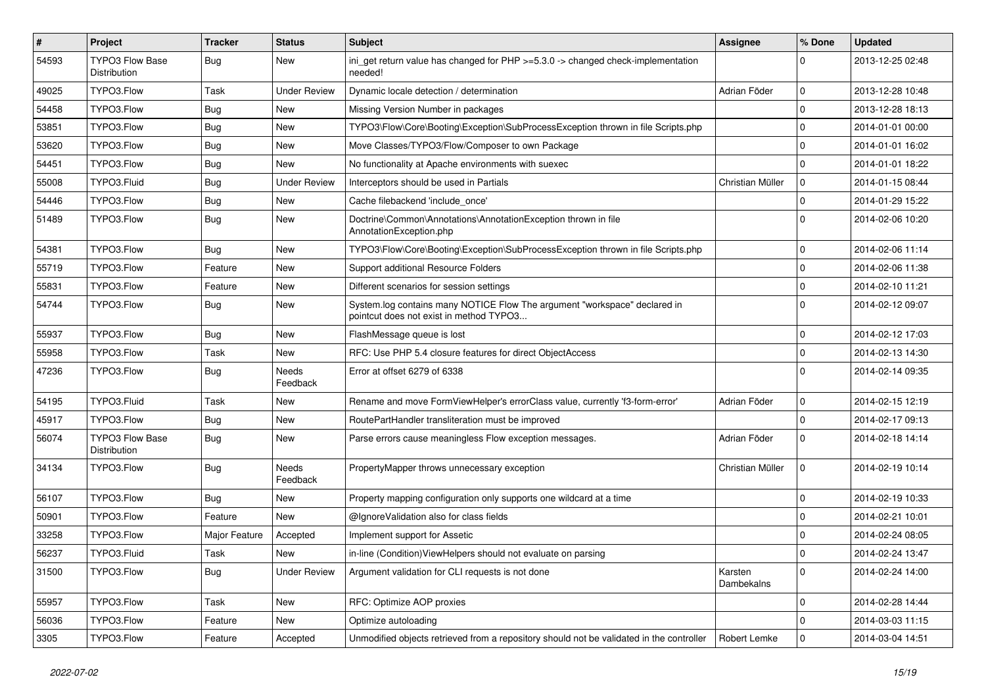| #     | Project                                | <b>Tracker</b> | <b>Status</b>       | <b>Subject</b>                                                                                                       | Assignee              | % Done      | <b>Updated</b>   |
|-------|----------------------------------------|----------------|---------------------|----------------------------------------------------------------------------------------------------------------------|-----------------------|-------------|------------------|
| 54593 | TYPO3 Flow Base<br>Distribution        | Bug            | New                 | ini_get return value has changed for $PHP \ge 5.3.0 \rightarrow$ changed check-implementation<br>needed!             |                       | 0           | 2013-12-25 02:48 |
| 49025 | TYPO3.Flow                             | Task           | <b>Under Review</b> | Dynamic locale detection / determination                                                                             | Adrian Föder          | 0           | 2013-12-28 10:48 |
| 54458 | TYPO3.Flow                             | <b>Bug</b>     | New                 | Missing Version Number in packages                                                                                   |                       | 0           | 2013-12-28 18:13 |
| 53851 | TYPO3.Flow                             | Bug            | New                 | TYPO3\Flow\Core\Booting\Exception\SubProcessException thrown in file Scripts.php                                     |                       | 0           | 2014-01-01 00:00 |
| 53620 | TYPO3.Flow                             | Bug            | New                 | Move Classes/TYPO3/Flow/Composer to own Package                                                                      |                       | 0           | 2014-01-01 16:02 |
| 54451 | TYPO3.Flow                             | Bug            | New                 | No functionality at Apache environments with suexec                                                                  |                       | $\mathbf 0$ | 2014-01-01 18:22 |
| 55008 | TYPO3.Fluid                            | <b>Bug</b>     | <b>Under Review</b> | Interceptors should be used in Partials                                                                              | Christian Müller      | 0           | 2014-01-15 08:44 |
| 54446 | TYPO3.Flow                             | Bug            | New                 | Cache filebackend 'include_once'                                                                                     |                       | $\mathbf 0$ | 2014-01-29 15:22 |
| 51489 | TYPO3.Flow                             | <b>Bug</b>     | New                 | Doctrine\Common\Annotations\AnnotationException thrown in file<br>AnnotationException.php                            |                       | 0           | 2014-02-06 10:20 |
| 54381 | TYPO3.Flow                             | Bug            | New                 | TYPO3\Flow\Core\Booting\Exception\SubProcessException thrown in file Scripts.php                                     |                       | 0           | 2014-02-06 11:14 |
| 55719 | TYPO3.Flow                             | Feature        | New                 | Support additional Resource Folders                                                                                  |                       | 0           | 2014-02-06 11:38 |
| 55831 | TYPO3.Flow                             | Feature        | New                 | Different scenarios for session settings                                                                             |                       | $\mathbf 0$ | 2014-02-10 11:21 |
| 54744 | TYPO3.Flow                             | Bug            | New                 | System.log contains many NOTICE Flow The argument "workspace" declared in<br>pointcut does not exist in method TYPO3 |                       | $\Omega$    | 2014-02-12 09:07 |
| 55937 | TYPO3.Flow                             | Bug            | New                 | FlashMessage queue is lost                                                                                           |                       | $\mathbf 0$ | 2014-02-12 17:03 |
| 55958 | TYPO3.Flow                             | Task           | New                 | RFC: Use PHP 5.4 closure features for direct ObjectAccess                                                            |                       | 0           | 2014-02-13 14:30 |
| 47236 | TYPO3.Flow                             | Bug            | Needs<br>Feedback   | Error at offset 6279 of 6338                                                                                         |                       | $\Omega$    | 2014-02-14 09:35 |
| 54195 | TYPO3.Fluid                            | Task           | New                 | Rename and move FormViewHelper's errorClass value, currently 'f3-form-error'                                         | Adrian Föder          | 0           | 2014-02-15 12:19 |
| 45917 | TYPO3.Flow                             | Bug            | New                 | RoutePartHandler transliteration must be improved                                                                    |                       | 0           | 2014-02-17 09:13 |
| 56074 | <b>TYPO3 Flow Base</b><br>Distribution | Bug            | New                 | Parse errors cause meaningless Flow exception messages.                                                              | Adrian Föder          | $\mathbf 0$ | 2014-02-18 14:14 |
| 34134 | TYPO3.Flow                             | Bug            | Needs<br>Feedback   | PropertyMapper throws unnecessary exception                                                                          | Christian Müller      | $\mathbf 0$ | 2014-02-19 10:14 |
| 56107 | TYPO3.Flow                             | Bug            | New                 | Property mapping configuration only supports one wildcard at a time                                                  |                       | 0           | 2014-02-19 10:33 |
| 50901 | TYPO3.Flow                             | Feature        | New                 | @IgnoreValidation also for class fields                                                                              |                       | 0           | 2014-02-21 10:01 |
| 33258 | TYPO3.Flow                             | Major Feature  | Accepted            | Implement support for Assetic                                                                                        |                       | 0           | 2014-02-24 08:05 |
| 56237 | TYPO3.Fluid                            | Task           | New                 | in-line (Condition) ViewHelpers should not evaluate on parsing                                                       |                       | $\Omega$    | 2014-02-24 13:47 |
| 31500 | TYPO3.Flow                             | <b>Bug</b>     | <b>Under Review</b> | Argument validation for CLI requests is not done                                                                     | Karsten<br>Dambekalns | 0           | 2014-02-24 14:00 |
| 55957 | TYPO3.Flow                             | Task           | New                 | RFC: Optimize AOP proxies                                                                                            |                       | 0           | 2014-02-28 14:44 |
| 56036 | TYPO3.Flow                             | Feature        | New                 | Optimize autoloading                                                                                                 |                       | 0           | 2014-03-03 11:15 |
| 3305  | TYPO3.Flow                             | Feature        | Accepted            | Unmodified objects retrieved from a repository should not be validated in the controller                             | Robert Lemke          | 0           | 2014-03-04 14:51 |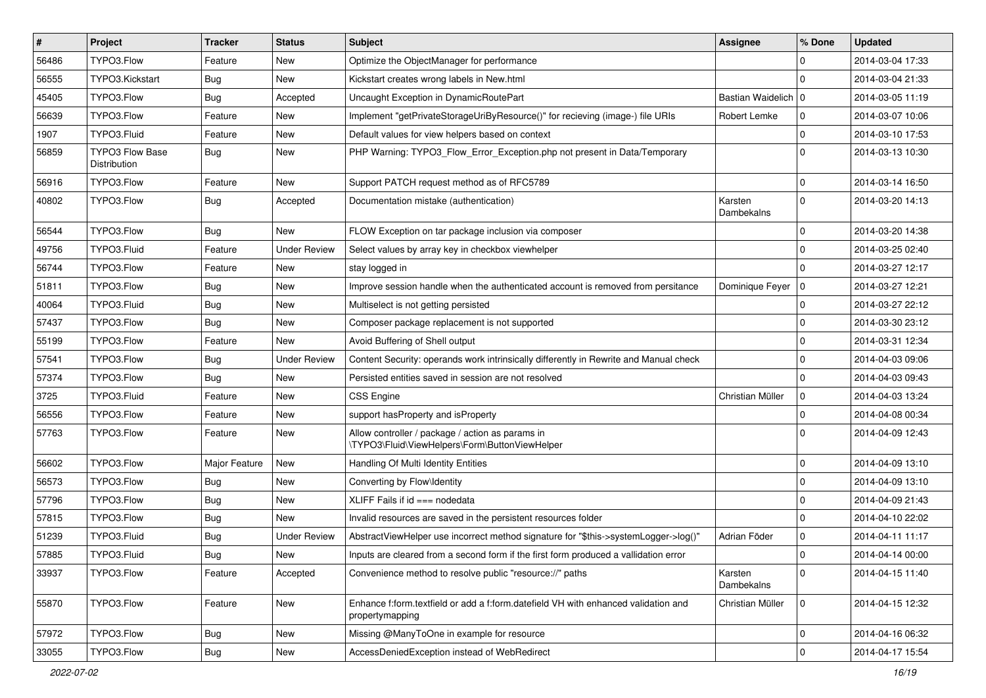| $\vert$ # | <b>Project</b>                         | <b>Tracker</b> | <b>Status</b>       | <b>Subject</b>                                                                                        | <b>Assignee</b>       | % Done      | <b>Updated</b>   |
|-----------|----------------------------------------|----------------|---------------------|-------------------------------------------------------------------------------------------------------|-----------------------|-------------|------------------|
| 56486     | TYPO3.Flow                             | Feature        | New                 | Optimize the ObjectManager for performance                                                            |                       | $\Omega$    | 2014-03-04 17:33 |
| 56555     | TYPO3.Kickstart                        | Bug            | New                 | Kickstart creates wrong labels in New.html                                                            |                       | $\Omega$    | 2014-03-04 21:33 |
| 45405     | TYPO3.Flow                             | Bug            | Accepted            | Uncaught Exception in DynamicRoutePart                                                                | Bastian Waidelich   0 |             | 2014-03-05 11:19 |
| 56639     | TYPO3.Flow                             | Feature        | New                 | Implement "getPrivateStorageUriByResource()" for recieving (image-) file URIs                         | Robert Lemke          | 0           | 2014-03-07 10:06 |
| 1907      | TYPO3.Fluid                            | Feature        | New                 | Default values for view helpers based on context                                                      |                       | $\mathbf 0$ | 2014-03-10 17:53 |
| 56859     | <b>TYPO3 Flow Base</b><br>Distribution | Bug            | New                 | PHP Warning: TYPO3_Flow_Error_Exception.php not present in Data/Temporary                             |                       | $\Omega$    | 2014-03-13 10:30 |
| 56916     | TYPO3.Flow                             | Feature        | New                 | Support PATCH request method as of RFC5789                                                            |                       | $\mathbf 0$ | 2014-03-14 16:50 |
| 40802     | TYPO3.Flow                             | Bug            | Accepted            | Documentation mistake (authentication)                                                                | Karsten<br>Dambekalns | $\mathbf 0$ | 2014-03-20 14:13 |
| 56544     | TYPO3.Flow                             | Bug            | New                 | FLOW Exception on tar package inclusion via composer                                                  |                       | $\mathbf 0$ | 2014-03-20 14:38 |
| 49756     | TYPO3.Fluid                            | Feature        | <b>Under Review</b> | Select values by array key in checkbox viewhelper                                                     |                       | $\mathbf 0$ | 2014-03-25 02:40 |
| 56744     | TYPO3.Flow                             | Feature        | New                 | stay logged in                                                                                        |                       | $\Omega$    | 2014-03-27 12:17 |
| 51811     | TYPO3.Flow                             | Bug            | New                 | Improve session handle when the authenticated account is removed from persitance                      | Dominique Feyer   0   |             | 2014-03-27 12:21 |
| 40064     | TYPO3.Fluid                            | Bug            | New                 | Multiselect is not getting persisted                                                                  |                       | 0           | 2014-03-27 22:12 |
| 57437     | TYPO3.Flow                             | Bug            | New                 | Composer package replacement is not supported                                                         |                       | 0           | 2014-03-30 23:12 |
| 55199     | TYPO3.Flow                             | Feature        | New                 | Avoid Buffering of Shell output                                                                       |                       | $\mathbf 0$ | 2014-03-31 12:34 |
| 57541     | TYPO3.Flow                             | Bug            | <b>Under Review</b> | Content Security: operands work intrinsically differently in Rewrite and Manual check                 |                       | 0           | 2014-04-03 09:06 |
| 57374     | TYPO3.Flow                             | Bug            | New                 | Persisted entities saved in session are not resolved                                                  |                       | $\Omega$    | 2014-04-03 09:43 |
| 3725      | TYPO3.Fluid                            | Feature        | New                 | <b>CSS Engine</b>                                                                                     | Christian Müller      | $\mathbf 0$ | 2014-04-03 13:24 |
| 56556     | TYPO3.Flow                             | Feature        | New                 | support has Property and is Property                                                                  |                       | 0           | 2014-04-08 00:34 |
| 57763     | TYPO3.Flow                             | Feature        | New                 | Allow controller / package / action as params in<br>\TYPO3\Fluid\ViewHelpers\Form\ButtonViewHelper    |                       | $\Omega$    | 2014-04-09 12:43 |
| 56602     | TYPO3.Flow                             | Major Feature  | New                 | Handling Of Multi Identity Entities                                                                   |                       | $\mathbf 0$ | 2014-04-09 13:10 |
| 56573     | TYPO3.Flow                             | Bug            | New                 | Converting by Flow\Identity                                                                           |                       | $\mathbf 0$ | 2014-04-09 13:10 |
| 57796     | TYPO3.Flow                             | Bug            | New                 | XLIFF Fails if $id == node$ nodedata                                                                  |                       | $\mathbf 0$ | 2014-04-09 21:43 |
| 57815     | TYPO3.Flow                             | Bug            | New                 | Invalid resources are saved in the persistent resources folder                                        |                       | $\Omega$    | 2014-04-10 22:02 |
| 51239     | TYPO3.Fluid                            | <b>Bug</b>     | <b>Under Review</b> | AbstractViewHelper use incorrect method signature for "\$this->systemLogger->log()"                   | Adrian Föder          | $\mathbf 0$ | 2014-04-11 11:17 |
| 57885     | TYPO3.Fluid                            | Bug            | New                 | Inputs are cleared from a second form if the first form produced a vallidation error                  |                       | 0           | 2014-04-14 00:00 |
| 33937     | TYPO3.Flow                             | Feature        | Accepted            | Convenience method to resolve public "resource://" paths                                              | Karsten<br>Dambekalns | $\mathbf 0$ | 2014-04-15 11:40 |
| 55870     | TYPO3.Flow                             | Feature        | New                 | Enhance f:form.textfield or add a f:form.datefield VH with enhanced validation and<br>propertymapping | Christian Müller      | $\mathbf 0$ | 2014-04-15 12:32 |
| 57972     | TYPO3.Flow                             | <b>Bug</b>     | New                 | Missing @ManyToOne in example for resource                                                            |                       | $\mathbf 0$ | 2014-04-16 06:32 |
| 33055     | TYPO3.Flow                             | <b>Bug</b>     | New                 | AccessDeniedException instead of WebRedirect                                                          |                       | $\mathbf 0$ | 2014-04-17 15:54 |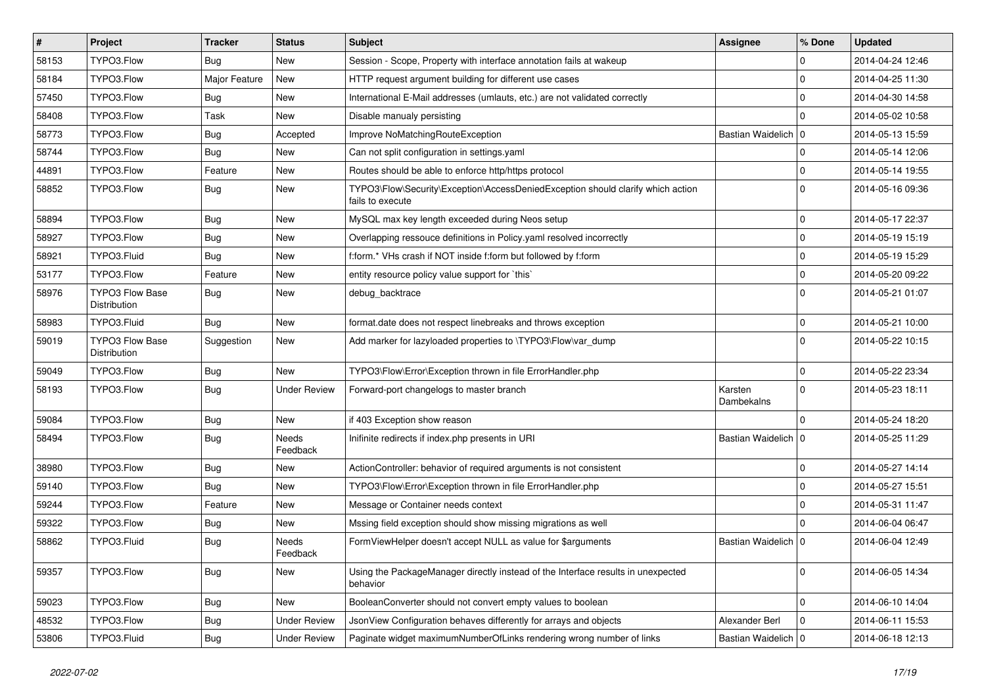| $\vert$ # | Project                                | <b>Tracker</b> | <b>Status</b>       | <b>Subject</b>                                                                                      | Assignee              | % Done      | <b>Updated</b>   |
|-----------|----------------------------------------|----------------|---------------------|-----------------------------------------------------------------------------------------------------|-----------------------|-------------|------------------|
| 58153     | TYPO3.Flow                             | Bug            | New                 | Session - Scope, Property with interface annotation fails at wakeup                                 |                       | 0           | 2014-04-24 12:46 |
| 58184     | TYPO3.Flow                             | Major Feature  | New                 | HTTP request argument building for different use cases                                              |                       | 0           | 2014-04-25 11:30 |
| 57450     | TYPO3.Flow                             | Bug            | New                 | International E-Mail addresses (umlauts, etc.) are not validated correctly                          |                       | 0           | 2014-04-30 14:58 |
| 58408     | TYPO3.Flow                             | Task           | New                 | Disable manualy persisting                                                                          |                       | $\Omega$    | 2014-05-02 10:58 |
| 58773     | TYPO3.Flow                             | Bug            | Accepted            | Improve NoMatchingRouteException                                                                    | Bastian Waidelich   0 |             | 2014-05-13 15:59 |
| 58744     | TYPO3.Flow                             | Bug            | New                 | Can not split configuration in settings.yaml                                                        |                       | 0           | 2014-05-14 12:06 |
| 44891     | TYPO3.Flow                             | Feature        | New                 | Routes should be able to enforce http/https protocol                                                |                       | 0           | 2014-05-14 19:55 |
| 58852     | TYPO3.Flow                             | Bug            | New                 | TYPO3\Flow\Security\Exception\AccessDeniedException should clarify which action<br>fails to execute |                       | $\Omega$    | 2014-05-16 09:36 |
| 58894     | TYPO3.Flow                             | Bug            | New                 | MySQL max key length exceeded during Neos setup                                                     |                       | 0           | 2014-05-17 22:37 |
| 58927     | TYPO3.Flow                             | Bug            | New                 | Overlapping ressouce definitions in Policy.yaml resolved incorrectly                                |                       | 0           | 2014-05-19 15:19 |
| 58921     | TYPO3.Fluid                            | <b>Bug</b>     | New                 | f:form.* VHs crash if NOT inside f:form but followed by f:form                                      |                       | $\mathbf 0$ | 2014-05-19 15:29 |
| 53177     | TYPO3.Flow                             | Feature        | New                 | entity resource policy value support for `this`                                                     |                       | $\mathbf 0$ | 2014-05-20 09:22 |
| 58976     | <b>TYPO3 Flow Base</b><br>Distribution | Bug            | New                 | debug_backtrace                                                                                     |                       | $\Omega$    | 2014-05-21 01:07 |
| 58983     | TYPO3.Fluid                            | Bug            | New                 | format.date does not respect linebreaks and throws exception                                        |                       | $\mathbf 0$ | 2014-05-21 10:00 |
| 59019     | <b>TYPO3 Flow Base</b><br>Distribution | Suggestion     | New                 | Add marker for lazyloaded properties to \TYPO3\Flow\var_dump                                        |                       | $\mathbf 0$ | 2014-05-22 10:15 |
| 59049     | TYPO3.Flow                             | Bug            | <b>New</b>          | TYPO3\Flow\Error\Exception thrown in file ErrorHandler.php                                          |                       | $\mathbf 0$ | 2014-05-22 23:34 |
| 58193     | TYPO3.Flow                             | <b>Bug</b>     | <b>Under Review</b> | Forward-port changelogs to master branch                                                            | Karsten<br>Dambekalns | $\Omega$    | 2014-05-23 18:11 |
| 59084     | TYPO3.Flow                             | Bug            | New                 | if 403 Exception show reason                                                                        |                       | $\Omega$    | 2014-05-24 18:20 |
| 58494     | TYPO3.Flow                             | <b>Bug</b>     | Needs<br>Feedback   | Inifinite redirects if index.php presents in URI                                                    | Bastian Waidelich   0 |             | 2014-05-25 11:29 |
| 38980     | TYPO3.Flow                             | Bug            | New                 | ActionController: behavior of required arguments is not consistent                                  |                       | 0           | 2014-05-27 14:14 |
| 59140     | TYPO3.Flow                             | Bug            | New                 | TYPO3\Flow\Error\Exception thrown in file ErrorHandler.php                                          |                       | 0           | 2014-05-27 15:51 |
| 59244     | TYPO3.Flow                             | Feature        | New                 | Message or Container needs context                                                                  |                       | 0           | 2014-05-31 11:47 |
| 59322     | TYPO3.Flow                             | <b>Bug</b>     | New                 | Mssing field exception should show missing migrations as well                                       |                       | $\Omega$    | 2014-06-04 06:47 |
| 58862     | TYPO3.Fluid                            | <b>Bug</b>     | Needs<br>Feedback   | FormViewHelper doesn't accept NULL as value for \$arguments                                         | Bastian Waidelich   0 |             | 2014-06-04 12:49 |
| 59357     | TYPO3.Flow                             | <b>Bug</b>     | New                 | Using the PackageManager directly instead of the Interface results in unexpected<br>behavior        |                       | $\mathbf 0$ | 2014-06-05 14:34 |
| 59023     | TYPO3.Flow                             | <b>Bug</b>     | New                 | BooleanConverter should not convert empty values to boolean                                         |                       | $\mathbf 0$ | 2014-06-10 14:04 |
| 48532     | TYPO3.Flow                             | <b>Bug</b>     | <b>Under Review</b> | JsonView Configuration behaves differently for arrays and objects                                   | Alexander Berl        | 0           | 2014-06-11 15:53 |
| 53806     | TYPO3.Fluid                            | Bug            | <b>Under Review</b> | Paginate widget maximumNumberOfLinks rendering wrong number of links                                | Bastian Waidelich   0 |             | 2014-06-18 12:13 |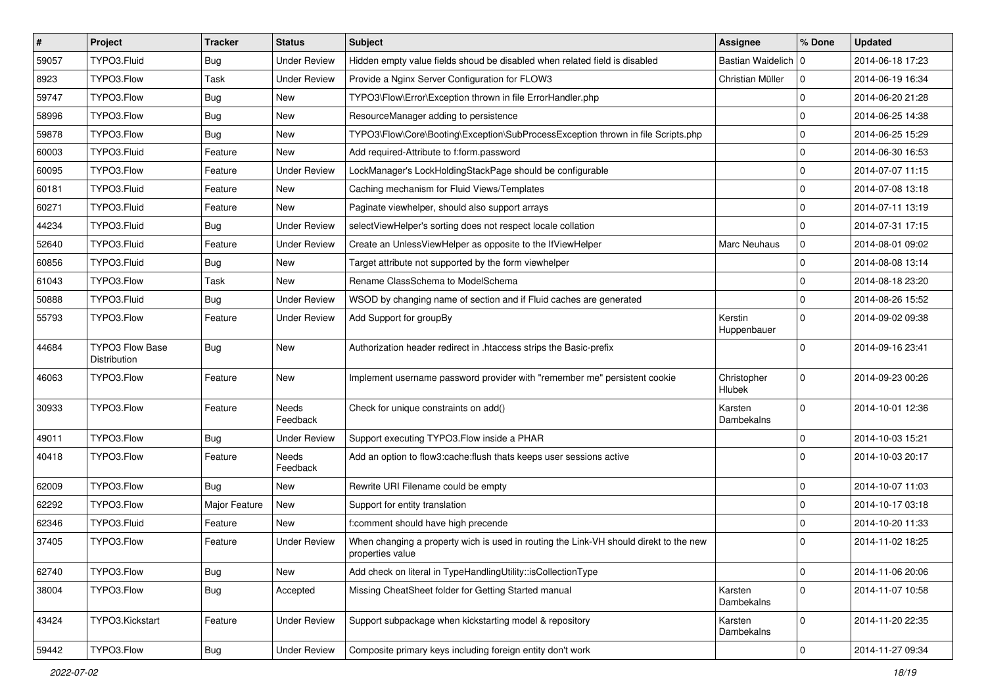| $\vert$ # | Project                         | <b>Tracker</b> | <b>Status</b>       | <b>Subject</b>                                                                                            | Assignee                     | % Done       | <b>Updated</b>   |
|-----------|---------------------------------|----------------|---------------------|-----------------------------------------------------------------------------------------------------------|------------------------------|--------------|------------------|
| 59057     | TYPO3.Fluid                     | Bug            | <b>Under Review</b> | Hidden empty value fields shoud be disabled when related field is disabled                                | Bastian Waidelich   0        |              | 2014-06-18 17:23 |
| 8923      | TYPO3.Flow                      | Task           | <b>Under Review</b> | Provide a Nginx Server Configuration for FLOW3                                                            | Christian Müller             | $\mathbf 0$  | 2014-06-19 16:34 |
| 59747     | TYPO3.Flow                      | Bug            | New                 | TYPO3\Flow\Error\Exception thrown in file ErrorHandler.php                                                |                              | $\mathbf 0$  | 2014-06-20 21:28 |
| 58996     | TYPO3.Flow                      | Bug            | New                 | ResourceManager adding to persistence                                                                     |                              | $\mathbf 0$  | 2014-06-25 14:38 |
| 59878     | TYPO3.Flow                      | Bug            | New                 | TYPO3\Flow\Core\Booting\Exception\SubProcessException thrown in file Scripts.php                          |                              | $\mathbf 0$  | 2014-06-25 15:29 |
| 60003     | TYPO3.Fluid                     | Feature        | New                 | Add required-Attribute to f:form.password                                                                 |                              | $\mathbf 0$  | 2014-06-30 16:53 |
| 60095     | TYPO3.Flow                      | Feature        | <b>Under Review</b> | LockManager's LockHoldingStackPage should be configurable                                                 |                              | $\mathbf 0$  | 2014-07-07 11:15 |
| 60181     | TYPO3.Fluid                     | Feature        | New                 | Caching mechanism for Fluid Views/Templates                                                               |                              | $\mathbf 0$  | 2014-07-08 13:18 |
| 60271     | TYPO3.Fluid                     | Feature        | <b>New</b>          | Paginate viewhelper, should also support arrays                                                           |                              | $\mathbf 0$  | 2014-07-11 13:19 |
| 44234     | TYPO3.Fluid                     | Bug            | <b>Under Review</b> | selectViewHelper's sorting does not respect locale collation                                              |                              | $\mathbf 0$  | 2014-07-31 17:15 |
| 52640     | TYPO3.Fluid                     | Feature        | <b>Under Review</b> | Create an UnlessViewHelper as opposite to the IfViewHelper                                                | Marc Neuhaus                 | 0            | 2014-08-01 09:02 |
| 60856     | TYPO3.Fluid                     | Bug            | New                 | Target attribute not supported by the form viewhelper                                                     |                              | $\mathbf 0$  | 2014-08-08 13:14 |
| 61043     | TYPO3.Flow                      | Task           | New                 | Rename ClassSchema to ModelSchema                                                                         |                              | $\mathbf 0$  | 2014-08-18 23:20 |
| 50888     | TYPO3.Fluid                     | Bug            | <b>Under Review</b> | WSOD by changing name of section and if Fluid caches are generated                                        |                              | $\mathbf 0$  | 2014-08-26 15:52 |
| 55793     | TYPO3.Flow                      | Feature        | Under Review        | Add Support for groupBy                                                                                   | Kerstin<br>Huppenbauer       | $\Omega$     | 2014-09-02 09:38 |
| 44684     | TYPO3 Flow Base<br>Distribution | Bug            | New                 | Authorization header redirect in .htaccess strips the Basic-prefix                                        |                              | $\Omega$     | 2014-09-16 23:41 |
| 46063     | TYPO3.Flow                      | Feature        | New                 | Implement username password provider with "remember me" persistent cookie                                 | Christopher<br><b>Hlubek</b> | $\mathbf 0$  | 2014-09-23 00:26 |
| 30933     | TYPO3.Flow                      | Feature        | Needs<br>Feedback   | Check for unique constraints on add()                                                                     | Karsten<br>Dambekalns        | $\Omega$     | 2014-10-01 12:36 |
| 49011     | TYPO3.Flow                      | Bug            | <b>Under Review</b> | Support executing TYPO3.Flow inside a PHAR                                                                |                              | $\mathbf 0$  | 2014-10-03 15:21 |
| 40418     | TYPO3.Flow                      | Feature        | Needs<br>Feedback   | Add an option to flow3:cache:flush thats keeps user sessions active                                       |                              | $\Omega$     | 2014-10-03 20:17 |
| 62009     | TYPO3.Flow                      | Bug            | New                 | Rewrite URI Filename could be empty                                                                       |                              | $\mathbf 0$  | 2014-10-07 11:03 |
| 62292     | TYPO3.Flow                      | Major Feature  | New                 | Support for entity translation                                                                            |                              | $\mathbf 0$  | 2014-10-17 03:18 |
| 62346     | TYPO3.Fluid                     | Feature        | New                 | f:comment should have high precende                                                                       |                              | $\mathbf 0$  | 2014-10-20 11:33 |
| 37405     | TYPO3.Flow                      | Feature        | <b>Under Review</b> | When changing a property wich is used in routing the Link-VH should direkt to the new<br>properties value |                              | $\Omega$     | 2014-11-02 18:25 |
| 62740     | TYPO3.Flow                      | Bug            | New                 | Add check on literal in TypeHandlingUtility::isCollectionType                                             |                              | 0            | 2014-11-06 20:06 |
| 38004     | TYPO3.Flow                      | <b>Bug</b>     | Accepted            | Missing CheatSheet folder for Getting Started manual                                                      | Karsten<br>Dambekalns        | $\mathbf 0$  | 2014-11-07 10:58 |
| 43424     | TYPO3.Kickstart                 | Feature        | <b>Under Review</b> | Support subpackage when kickstarting model & repository                                                   | Karsten<br>Dambekalns        | $\mathsf{O}$ | 2014-11-20 22:35 |
| 59442     | TYPO3.Flow                      | <b>Bug</b>     | <b>Under Review</b> | Composite primary keys including foreign entity don't work                                                |                              | $\pmb{0}$    | 2014-11-27 09:34 |